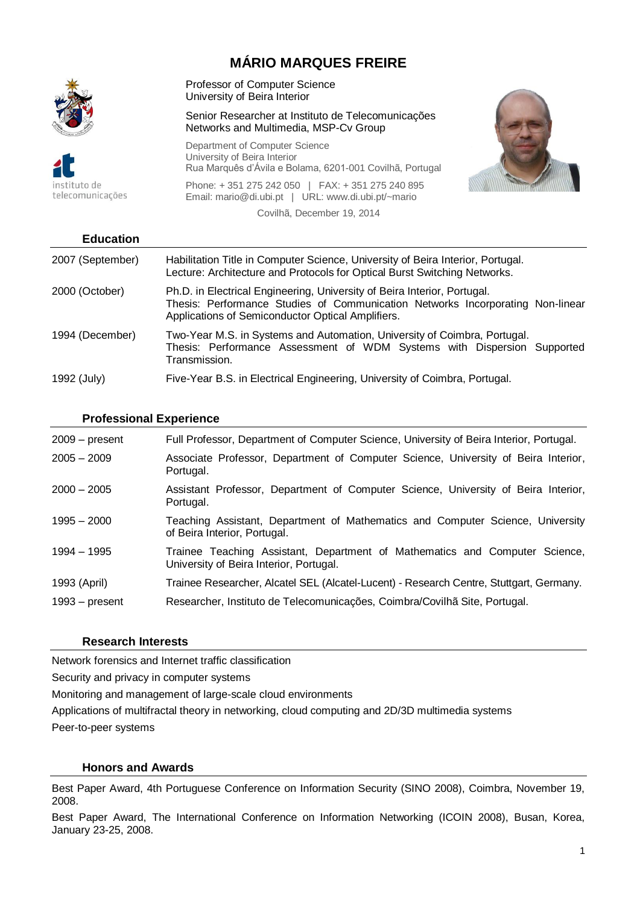# **MÁRIO MARQUES FREIRE**



ah otutitzn telecomunicações Professor of Computer Science University of Beira Interior

Senior Researcher at Instituto de Telecomunicações Networks and Multimedia, MSP-Cv Group

Department of Computer Science University of Beira Interior Rua Marquês d'Ávila e Bolama, 6201-001 Covilhã, Portugal

Phone: + 351 275 242 050 | FAX: + 351 275 240 895 Email: mario@di.ubi.pt | URL: www.di.ubi.pt/~mario Covilhã, December 19, 2014



| <b>Education</b> |                                                                                                                                                                                                                 |
|------------------|-----------------------------------------------------------------------------------------------------------------------------------------------------------------------------------------------------------------|
| 2007 (September) | Habilitation Title in Computer Science, University of Beira Interior, Portugal.<br>Lecture: Architecture and Protocols for Optical Burst Switching Networks.                                                    |
| 2000 (October)   | Ph.D. in Electrical Engineering, University of Beira Interior, Portugal.<br>Thesis: Performance Studies of Communication Networks Incorporating Non-linear<br>Applications of Semiconductor Optical Amplifiers. |
| 1994 (December)  | Two-Year M.S. in Systems and Automation, University of Coimbra, Portugal.<br>Thesis: Performance Assessment of WDM Systems with Dispersion Supported<br>Transmission.                                           |
| 1992 (July)      | Five-Year B.S. in Electrical Engineering, University of Coimbra, Portugal.                                                                                                                                      |

### **Professional Experience**

| $2009 - present$ | Full Professor, Department of Computer Science, University of Beira Interior, Portugal.                                |
|------------------|------------------------------------------------------------------------------------------------------------------------|
| $2005 - 2009$    | Associate Professor, Department of Computer Science, University of Beira Interior,<br>Portugal.                        |
| $2000 - 2005$    | Assistant Professor, Department of Computer Science, University of Beira Interior,<br>Portugal.                        |
| $1995 - 2000$    | Teaching Assistant, Department of Mathematics and Computer Science, University<br>of Beira Interior, Portugal.         |
| 1994 - 1995      | Trainee Teaching Assistant, Department of Mathematics and Computer Science,<br>University of Beira Interior, Portugal. |
| 1993 (April)     | Trainee Researcher, Alcatel SEL (Alcatel-Lucent) - Research Centre, Stuttgart, Germany.                                |
| $1993 - present$ | Researcher, Instituto de Telecomunicações, Coimbra/Covilhã Site, Portugal.                                             |

#### **Research Interests**

Network forensics and Internet traffic classification

Security and privacy in computer systems

Monitoring and management of large-scale cloud environments

Applications of multifractal theory in networking, cloud computing and 2D/3D multimedia systems

Peer-to-peer systems

# **Honors and Awards**

Best Paper Award, 4th Portuguese Conference on Information Security (SINO 2008), Coimbra, November 19, 2008.

Best Paper Award, The International Conference on Information Networking (ICOIN 2008), Busan, Korea, January 23-25, 2008.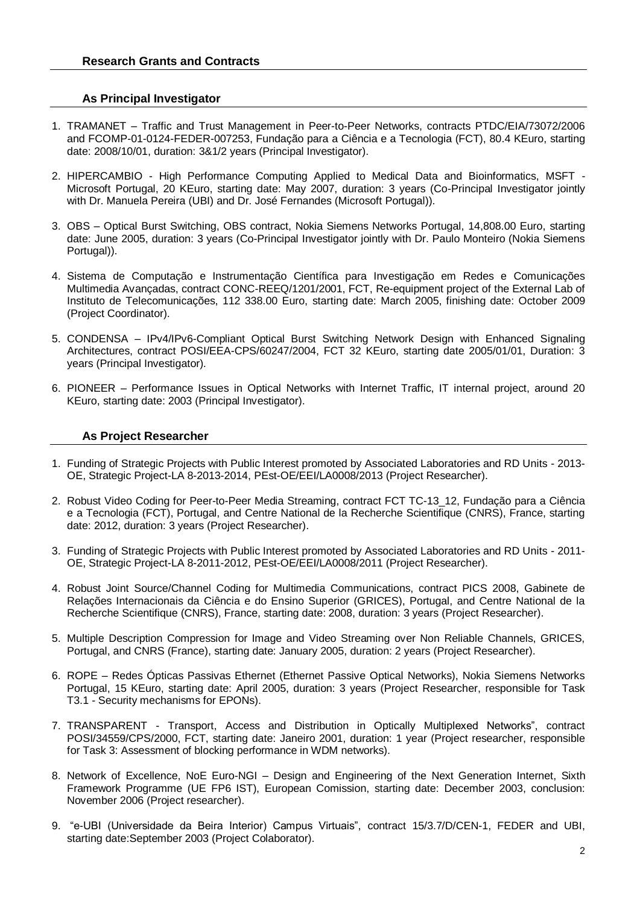#### **As Principal Investigator**

- 1. TRAMANET Traffic and Trust Management in Peer-to-Peer Networks, contracts PTDC/EIA/73072/2006 and FCOMP-01-0124-FEDER-007253, Fundação para a Ciência e a Tecnologia (FCT), 80.4 KEuro, starting date: 2008/10/01, duration: 3&1/2 years (Principal Investigator).
- 2. HIPERCAMBIO High Performance Computing Applied to Medical Data and Bioinformatics, MSFT Microsoft Portugal, 20 KEuro, starting date: May 2007, duration: 3 years (Co-Principal Investigator jointly with Dr. Manuela Pereira (UBI) and Dr. José Fernandes (Microsoft Portugal)).
- 3. OBS Optical Burst Switching, OBS contract, Nokia Siemens Networks Portugal, 14,808.00 Euro, starting date: June 2005, duration: 3 years (Co-Principal Investigator jointly with Dr. Paulo Monteiro (Nokia Siemens Portugal)).
- 4. Sistema de Computação e Instrumentação Científica para Investigação em Redes e Comunicações Multimedia Avançadas, contract CONC-REEQ/1201/2001, FCT, Re-equipment project of the External Lab of Instituto de Telecomunicações, 112 338.00 Euro, starting date: March 2005, finishing date: October 2009 (Project Coordinator).
- 5. CONDENSA IPv4/IPv6-Compliant Optical Burst Switching Network Design with Enhanced Signaling Architectures, contract POSI/EEA-CPS/60247/2004, FCT 32 KEuro, starting date 2005/01/01, Duration: 3 years (Principal Investigator).
- 6. PIONEER Performance Issues in Optical Networks with Internet Traffic, IT internal project, around 20 KEuro, starting date: 2003 (Principal Investigator).

#### **As Project Researcher**

- 1. Funding of Strategic Projects with Public Interest promoted by Associated Laboratories and RD Units 2013- OE, Strategic Project-LA 8-2013-2014, PEst-OE/EEI/LA0008/2013 (Project Researcher).
- 2. Robust Video Coding for Peer-to-Peer Media Streaming, contract FCT TC-13\_12, Fundação para a Ciência e a Tecnologia (FCT), Portugal, and Centre National de la Recherche Scientifique (CNRS), France, starting date: 2012, duration: 3 years (Project Researcher).
- 3. Funding of Strategic Projects with Public Interest promoted by Associated Laboratories and RD Units 2011- OE, Strategic Project-LA 8-2011-2012, PEst-OE/EEI/LA0008/2011 (Project Researcher).
- 4. Robust Joint Source/Channel Coding for Multimedia Communications, contract PICS 2008, Gabinete de Relações Internacionais da Ciência e do Ensino Superior (GRICES), Portugal, and Centre National de la Recherche Scientifique (CNRS), France, starting date: 2008, duration: 3 years (Project Researcher).
- 5. Multiple Description Compression for Image and Video Streaming over Non Reliable Channels, GRICES, Portugal, and CNRS (France), starting date: January 2005, duration: 2 years (Project Researcher).
- 6. ROPE Redes Ópticas Passivas Ethernet (Ethernet Passive Optical Networks), Nokia Siemens Networks Portugal, 15 KEuro, starting date: April 2005, duration: 3 years (Project Researcher, responsible for Task T3.1 - Security mechanisms for EPONs).
- 7. TRANSPARENT Transport, Access and Distribution in Optically Multiplexed Networks", contract POSI/34559/CPS/2000, FCT, starting date: Janeiro 2001, duration: 1 year (Project researcher, responsible for Task 3: Assessment of blocking performance in WDM networks).
- 8. Network of Excellence, NoE Euro-NGI Design and Engineering of the Next Generation Internet, Sixth Framework Programme (UE FP6 IST), European Comission, starting date: December 2003, conclusion: November 2006 (Project researcher).
- 9. "e-UBI (Universidade da Beira Interior) Campus Virtuais", contract 15/3.7/D/CEN-1, FEDER and UBI, starting date:September 2003 (Project Colaborator).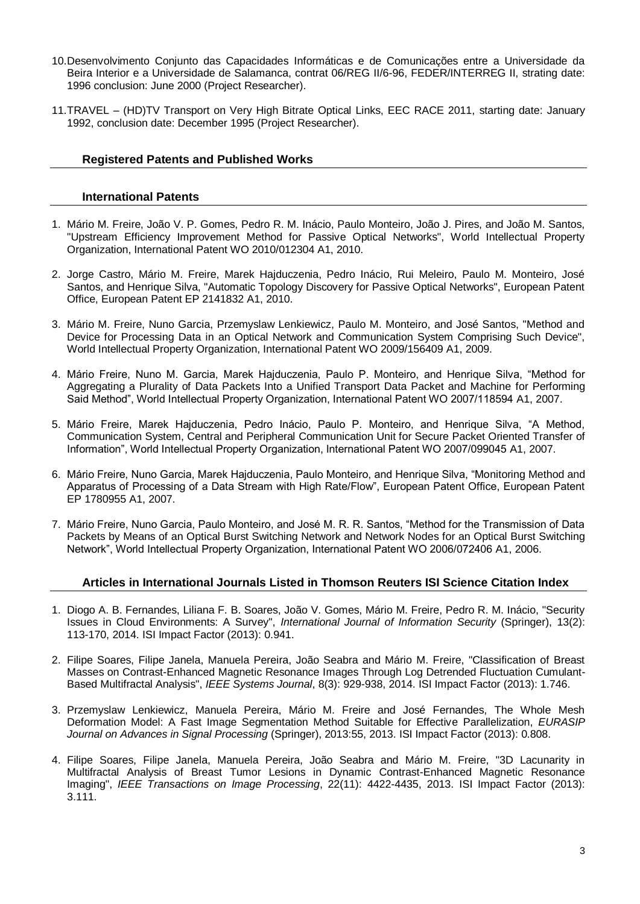- 10.Desenvolvimento Conjunto das Capacidades Informáticas e de Comunicações entre a Universidade da Beira Interior e a Universidade de Salamanca, contrat 06/REG II/6-96, FEDER/INTERREG II, strating date: 1996 conclusion: June 2000 (Project Researcher).
- 11.TRAVEL (HD)TV Transport on Very High Bitrate Optical Links, EEC RACE 2011, starting date: January 1992, conclusion date: December 1995 (Project Researcher).

#### **Registered Patents and Published Works**

#### **International Patents**

- 1. Mário M. Freire, João V. P. Gomes, Pedro R. M. Inácio, Paulo Monteiro, João J. Pires, and João M. Santos, "Upstream Efficiency Improvement Method for Passive Optical Networks", World Intellectual Property Organization, International Patent WO 2010/012304 A1, 2010.
- 2. Jorge Castro, Mário M. Freire, Marek Hajduczenia, Pedro Inácio, Rui Meleiro, Paulo M. Monteiro, José Santos, and Henrique Silva, "Automatic Topology Discovery for Passive Optical Networks", European Patent Office, European Patent EP 2141832 A1, 2010.
- 3. Mário M. Freire, Nuno Garcia, Przemyslaw Lenkiewicz, Paulo M. Monteiro, and José Santos, "Method and Device for Processing Data in an Optical Network and Communication System Comprising Such Device", World Intellectual Property Organization, International Patent WO 2009/156409 A1, 2009.
- 4. Mário Freire, Nuno M. Garcia, Marek Hajduczenia, Paulo P. Monteiro, and Henrique Silva, "Method for Aggregating a Plurality of Data Packets Into a Unified Transport Data Packet and Machine for Performing Said Method", World Intellectual Property Organization, International Patent WO 2007/118594 A1, 2007.
- 5. Mário Freire, Marek Hajduczenia, Pedro Inácio, Paulo P. Monteiro, and Henrique Silva, "A Method, Communication System, Central and Peripheral Communication Unit for Secure Packet Oriented Transfer of Information", World Intellectual Property Organization, International Patent WO 2007/099045 A1, 2007.
- 6. Mário Freire, Nuno Garcia, Marek Hajduczenia, Paulo Monteiro, and Henrique Silva, "Monitoring Method and Apparatus of Processing of a Data Stream with High Rate/Flow", European Patent Office, European Patent EP 1780955 A1, 2007.
- 7. Mário Freire, Nuno Garcia, Paulo Monteiro, and José M. R. R. Santos, "Method for the Transmission of Data Packets by Means of an Optical Burst Switching Network and Network Nodes for an Optical Burst Switching Network", World Intellectual Property Organization, International Patent WO 2006/072406 A1, 2006.

#### **Articles in International Journals Listed in Thomson Reuters ISI Science Citation Index**

- 1. Diogo A. B. Fernandes, Liliana F. B. Soares, João V. Gomes, Mário M. Freire, Pedro R. M. Inácio, "Security Issues in Cloud Environments: A Survey", *International Journal of Information Security* (Springer), 13(2): 113-170, 2014. ISI Impact Factor (2013): 0.941.
- 2. Filipe Soares, Filipe Janela, Manuela Pereira, João Seabra and Mário M. Freire, "Classification of Breast Masses on Contrast-Enhanced Magnetic Resonance Images Through Log Detrended Fluctuation Cumulant-Based Multifractal Analysis", *IEEE Systems Journal*, 8(3): 929-938, 2014. ISI Impact Factor (2013): 1.746.
- 3. Przemyslaw Lenkiewicz, Manuela Pereira, Mário M. Freire and José Fernandes, The Whole Mesh Deformation Model: A Fast Image Segmentation Method Suitable for Effective Parallelization, *EURASIP Journal on Advances in Signal Processing* (Springer), 2013:55, 2013. ISI Impact Factor (2013): 0.808.
- 4. Filipe Soares, Filipe Janela, Manuela Pereira, João Seabra and Mário M. Freire, "3D Lacunarity in Multifractal Analysis of Breast Tumor Lesions in Dynamic Contrast-Enhanced Magnetic Resonance Imaging", *IEEE Transactions on Image Processing*, 22(11): 4422-4435, 2013. ISI Impact Factor (2013): 3.111.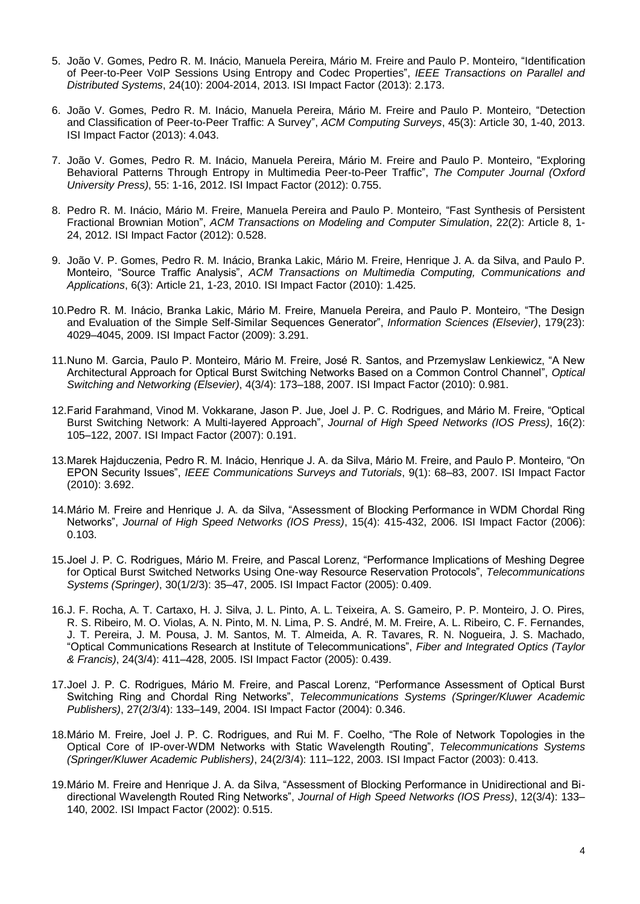- 5. João V. Gomes, Pedro R. M. Inácio, Manuela Pereira, Mário M. Freire and Paulo P. Monteiro, "Identification of Peer-to-Peer VoIP Sessions Using Entropy and Codec Properties", *IEEE Transactions on Parallel and Distributed Systems*, 24(10): 2004-2014, 2013. ISI Impact Factor (2013): 2.173.
- 6. João V. Gomes, Pedro R. M. Inácio, Manuela Pereira, Mário M. Freire and Paulo P. Monteiro, "Detection and Classification of Peer-to-Peer Traffic: A Survey", *ACM Computing Surveys*, 45(3): Article 30, 1-40, 2013. ISI Impact Factor (2013): 4.043.
- 7. João V. Gomes, Pedro R. M. Inácio, Manuela Pereira, Mário M. Freire and Paulo P. Monteiro, "Exploring Behavioral Patterns Through Entropy in Multimedia Peer-to-Peer Traffic", *The Computer Journal (Oxford University Press)*, 55: 1-16, 2012. ISI Impact Factor (2012): 0.755.
- 8. Pedro R. M. Inácio, Mário M. Freire, Manuela Pereira and Paulo P. Monteiro, "Fast Synthesis of Persistent Fractional Brownian Motion", *ACM Transactions on Modeling and Computer Simulation*, 22(2): Article 8, 1- 24, 2012. ISI Impact Factor (2012): 0.528.
- 9. João V. P. Gomes, Pedro R. M. Inácio, Branka Lakic, Mário M. Freire, Henrique J. A. da Silva, and Paulo P. Monteiro, "Source Traffic Analysis", *ACM Transactions on Multimedia Computing, Communications and Applications*, 6(3): Article 21, 1-23, 2010. ISI Impact Factor (2010): 1.425.
- 10.Pedro R. M. Inácio, Branka Lakic, Mário M. Freire, Manuela Pereira, and Paulo P. Monteiro, "The Design and Evaluation of the Simple Self-Similar Sequences Generator", *Information Sciences (Elsevier)*, 179(23): 4029–4045, 2009. ISI Impact Factor (2009): 3.291.
- 11.Nuno M. Garcia, Paulo P. Monteiro, Mário M. Freire, José R. Santos, and Przemyslaw Lenkiewicz, "A New Architectural Approach for Optical Burst Switching Networks Based on a Common Control Channel", *Optical Switching and Networking (Elsevier)*, 4(3/4): 173–188, 2007. ISI Impact Factor (2010): 0.981.
- 12.Farid Farahmand, Vinod M. Vokkarane, Jason P. Jue, Joel J. P. C. Rodrigues, and Mário M. Freire, "Optical Burst Switching Network: A Multi-layered Approach", *Journal of High Speed Networks (IOS Press)*, 16(2): 105–122, 2007. ISI Impact Factor (2007): 0.191.
- 13.Marek Hajduczenia, Pedro R. M. Inácio, Henrique J. A. da Silva, Mário M. Freire, and Paulo P. Monteiro, "On EPON Security Issues", *IEEE Communications Surveys and Tutorials*, 9(1): 68–83, 2007. ISI Impact Factor (2010): 3.692.
- 14.Mário M. Freire and Henrique J. A. da Silva, "Assessment of Blocking Performance in WDM Chordal Ring Networks", *Journal of High Speed Networks (IOS Press)*, 15(4): 415-432, 2006. ISI Impact Factor (2006): 0.103.
- 15.Joel J. P. C. Rodrigues, Mário M. Freire, and Pascal Lorenz, "Performance Implications of Meshing Degree for Optical Burst Switched Networks Using One-way Resource Reservation Protocols", *Telecommunications Systems (Springer)*, 30(1/2/3): 35–47, 2005. ISI Impact Factor (2005): 0.409.
- 16.J. F. Rocha, A. T. Cartaxo, H. J. Silva, J. L. Pinto, A. L. Teixeira, A. S. Gameiro, P. P. Monteiro, J. O. Pires, R. S. Ribeiro, M. O. Violas, A. N. Pinto, M. N. Lima, P. S. André, M. M. Freire, A. L. Ribeiro, C. F. Fernandes, J. T. Pereira, J. M. Pousa, J. M. Santos, M. T. Almeida, A. R. Tavares, R. N. Nogueira, J. S. Machado, "Optical Communications Research at Institute of Telecommunications", *Fiber and Integrated Optics (Taylor & Francis)*, 24(3/4): 411–428, 2005. ISI Impact Factor (2005): 0.439.
- 17.Joel J. P. C. Rodrigues, Mário M. Freire, and Pascal Lorenz, "Performance Assessment of Optical Burst Switching Ring and Chordal Ring Networks", *Telecommunications Systems (Springer/Kluwer Academic Publishers)*, 27(2/3/4): 133–149, 2004. ISI Impact Factor (2004): 0.346.
- 18.Mário M. Freire, Joel J. P. C. Rodrigues, and Rui M. F. Coelho, "The Role of Network Topologies in the Optical Core of IP-over-WDM Networks with Static Wavelength Routing", *Telecommunications Systems (Springer/Kluwer Academic Publishers)*, 24(2/3/4): 111–122, 2003. ISI Impact Factor (2003): 0.413.
- 19.Mário M. Freire and Henrique J. A. da Silva, "Assessment of Blocking Performance in Unidirectional and Bidirectional Wavelength Routed Ring Networks", *Journal of High Speed Networks (IOS Press)*, 12(3/4): 133– 140, 2002. ISI Impact Factor (2002): 0.515.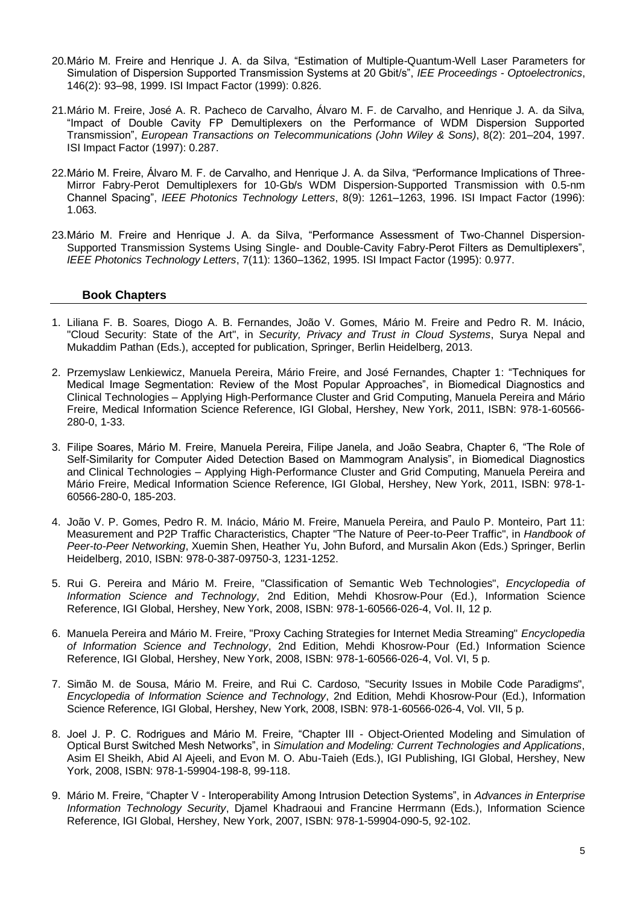- 20.Mário M. Freire and Henrique J. A. da Silva, "Estimation of Multiple-Quantum-Well Laser Parameters for Simulation of Dispersion Supported Transmission Systems at 20 Gbit/s", *IEE Proceedings - Optoelectronics*, 146(2): 93–98, 1999. ISI Impact Factor (1999): 0.826.
- 21.Mário M. Freire, José A. R. Pacheco de Carvalho, Álvaro M. F. de Carvalho, and Henrique J. A. da Silva, "Impact of Double Cavity FP Demultiplexers on the Performance of WDM Dispersion Supported Transmission", *European Transactions on Telecommunications (John Wiley & Sons)*, 8(2): 201–204, 1997. ISI Impact Factor (1997): 0.287.
- 22.Mário M. Freire, Álvaro M. F. de Carvalho, and Henrique J. A. da Silva, "Performance Implications of Three-Mirror Fabry-Perot Demultiplexers for 10-Gb/s WDM Dispersion-Supported Transmission with 0.5-nm Channel Spacing", *IEEE Photonics Technology Letters*, 8(9): 1261–1263, 1996. ISI Impact Factor (1996): 1.063.
- 23.Mário M. Freire and Henrique J. A. da Silva, "Performance Assessment of Two-Channel Dispersion-Supported Transmission Systems Using Single- and Double-Cavity Fabry-Perot Filters as Demultiplexers", *IEEE Photonics Technology Letters*, 7(11): 1360–1362, 1995. ISI Impact Factor (1995): 0.977.

#### **Book Chapters**

- 1. Liliana F. B. Soares, Diogo A. B. Fernandes, João V. Gomes, Mário M. Freire and Pedro R. M. Inácio, "Cloud Security: State of the Art", in *Security, Privacy and Trust in Cloud Systems*, Surya Nepal and Mukaddim Pathan (Eds.), accepted for publication, Springer, Berlin Heidelberg, 2013.
- 2. Przemyslaw Lenkiewicz, Manuela Pereira, Mário Freire, and José Fernandes, Chapter 1: "Techniques for Medical Image Segmentation: Review of the Most Popular Approaches", in Biomedical Diagnostics and Clinical Technologies – Applying High-Performance Cluster and Grid Computing, Manuela Pereira and Mário Freire, Medical Information Science Reference, IGI Global, Hershey, New York, 2011, ISBN: 978-1-60566- 280-0, 1-33.
- 3. Filipe Soares, Mário M. Freire, Manuela Pereira, Filipe Janela, and João Seabra, Chapter 6, "The Role of Self-Similarity for Computer Aided Detection Based on Mammogram Analysis", in Biomedical Diagnostics and Clinical Technologies – Applying High-Performance Cluster and Grid Computing, Manuela Pereira and Mário Freire, Medical Information Science Reference, IGI Global, Hershey, New York, 2011, ISBN: 978-1- 60566-280-0, 185-203.
- 4. João V. P. Gomes, Pedro R. M. Inácio, Mário M. Freire, Manuela Pereira, and Paulo P. Monteiro, Part 11: Measurement and P2P Traffic Characteristics, Chapter "The Nature of Peer-to-Peer Traffic", in *Handbook of Peer-to-Peer Networking*, Xuemin Shen, Heather Yu, John Buford, and Mursalin Akon (Eds.) Springer, Berlin Heidelberg, 2010, ISBN: 978-0-387-09750-3, 1231-1252.
- 5. Rui G. Pereira and Mário M. Freire, "Classification of Semantic Web Technologies", *Encyclopedia of Information Science and Technology*, 2nd Edition, Mehdi Khosrow-Pour (Ed.), Information Science Reference, IGI Global, Hershey, New York, 2008, ISBN: 978-1-60566-026-4, Vol. II, 12 p.
- 6. Manuela Pereira and Mário M. Freire, "Proxy Caching Strategies for Internet Media Streaming" *Encyclopedia of Information Science and Technology*, 2nd Edition, Mehdi Khosrow-Pour (Ed.) Information Science Reference, IGI Global, Hershey, New York, 2008, ISBN: 978-1-60566-026-4, Vol. VI, 5 p.
- 7. Simão M. de Sousa, Mário M. Freire, and Rui C. Cardoso, "Security Issues in Mobile Code Paradigms", *Encyclopedia of Information Science and Technology*, 2nd Edition, Mehdi Khosrow-Pour (Ed.), Information Science Reference, IGI Global, Hershey, New York, 2008, ISBN: 978-1-60566-026-4, Vol. VII, 5 p.
- 8. Joel J. P. C. Rodrigues and Mário M. Freire, "Chapter III Object-Oriented Modeling and Simulation of Optical Burst Switched Mesh Networks", in *Simulation and Modeling: Current Technologies and Applications*, Asim El Sheikh, Abid Al Ajeeli, and Evon M. O. Abu-Taieh (Eds.), IGI Publishing, IGI Global, Hershey, New York, 2008, ISBN: 978-1-59904-198-8, 99-118.
- 9. Mário M. Freire, "Chapter V Interoperability Among Intrusion Detection Systems", in *Advances in Enterprise Information Technology Security*, Djamel Khadraoui and Francine Herrmann (Eds.), Information Science Reference, IGI Global, Hershey, New York, 2007, ISBN: 978-1-59904-090-5, 92-102.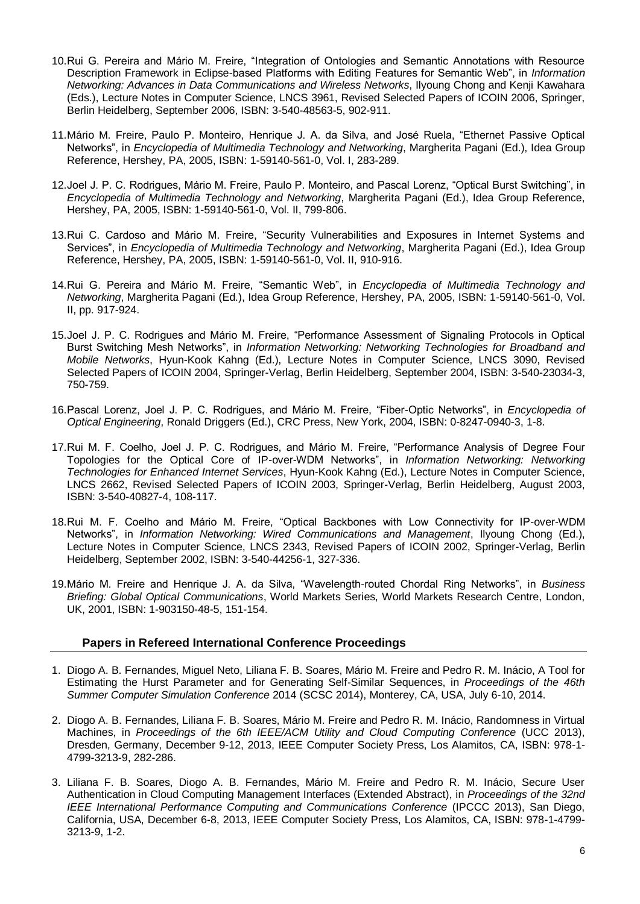- 10.Rui G. Pereira and Mário M. Freire, "Integration of Ontologies and Semantic Annotations with Resource Description Framework in Eclipse-based Platforms with Editing Features for Semantic Web", in *Information Networking: Advances in Data Communications and Wireless Networks*, Ilyoung Chong and Kenji Kawahara (Eds.), Lecture Notes in Computer Science, LNCS 3961, Revised Selected Papers of ICOIN 2006, Springer, Berlin Heidelberg, September 2006, ISBN: 3-540-48563-5, 902-911.
- 11.Mário M. Freire, Paulo P. Monteiro, Henrique J. A. da Silva, and José Ruela, "Ethernet Passive Optical Networks", in *Encyclopedia of Multimedia Technology and Networking*, Margherita Pagani (Ed.), Idea Group Reference, Hershey, PA, 2005, ISBN: 1-59140-561-0, Vol. I, 283-289.
- 12.Joel J. P. C. Rodrigues, Mário M. Freire, Paulo P. Monteiro, and Pascal Lorenz, "Optical Burst Switching", in *Encyclopedia of Multimedia Technology and Networking*, Margherita Pagani (Ed.), Idea Group Reference, Hershey, PA, 2005, ISBN: 1-59140-561-0, Vol. II, 799-806.
- 13.Rui C. Cardoso and Mário M. Freire, "Security Vulnerabilities and Exposures in Internet Systems and Services", in *Encyclopedia of Multimedia Technology and Networking*, Margherita Pagani (Ed.), Idea Group Reference, Hershey, PA, 2005, ISBN: 1-59140-561-0, Vol. II, 910-916.
- 14.Rui G. Pereira and Mário M. Freire, "Semantic Web", in *Encyclopedia of Multimedia Technology and Networking*, Margherita Pagani (Ed.), Idea Group Reference, Hershey, PA, 2005, ISBN: 1-59140-561-0, Vol. II, pp. 917-924.
- 15.Joel J. P. C. Rodrigues and Mário M. Freire, "Performance Assessment of Signaling Protocols in Optical Burst Switching Mesh Networks", in *Information Networking: Networking Technologies for Broadband and Mobile Networks*, Hyun-Kook Kahng (Ed.), Lecture Notes in Computer Science, LNCS 3090, Revised Selected Papers of ICOIN 2004, Springer-Verlag, Berlin Heidelberg, September 2004, ISBN: 3-540-23034-3, 750-759.
- 16.Pascal Lorenz, Joel J. P. C. Rodrigues, and Mário M. Freire, "Fiber-Optic Networks", in *Encyclopedia of Optical Engineering*, Ronald Driggers (Ed.), CRC Press, New York, 2004, ISBN: 0-8247-0940-3, 1-8.
- 17.Rui M. F. Coelho, Joel J. P. C. Rodrigues, and Mário M. Freire, "Performance Analysis of Degree Four Topologies for the Optical Core of IP-over-WDM Networks", in *Information Networking: Networking Technologies for Enhanced Internet Services*, Hyun-Kook Kahng (Ed.), Lecture Notes in Computer Science, LNCS 2662, Revised Selected Papers of ICOIN 2003, Springer-Verlag, Berlin Heidelberg, August 2003, ISBN: 3-540-40827-4, 108-117.
- 18.Rui M. F. Coelho and Mário M. Freire, "Optical Backbones with Low Connectivity for IP-over-WDM Networks", in *Information Networking: Wired Communications and Management*, Ilyoung Chong (Ed.), Lecture Notes in Computer Science, LNCS 2343, Revised Papers of ICOIN 2002, Springer-Verlag, Berlin Heidelberg, September 2002, ISBN: 3-540-44256-1, 327-336.
- 19.Mário M. Freire and Henrique J. A. da Silva, "Wavelength-routed Chordal Ring Networks", in *Business Briefing: Global Optical Communications*, World Markets Series, World Markets Research Centre, London, UK, 2001, ISBN: 1-903150-48-5, 151-154.

#### **Papers in Refereed International Conference Proceedings**

- 1. Diogo A. B. Fernandes, Miguel Neto, Liliana F. B. Soares, Mário M. Freire and Pedro R. M. Inácio, A Tool for Estimating the Hurst Parameter and for Generating Self-Similar Sequences, in *Proceedings of the 46th Summer Computer Simulation Conference* 2014 (SCSC 2014), Monterey, CA, USA, July 6-10, 2014.
- 2. Diogo A. B. Fernandes, Liliana F. B. Soares, Mário M. Freire and Pedro R. M. Inácio, Randomness in Virtual Machines, in *Proceedings of the 6th IEEE/ACM Utility and Cloud Computing Conference* (UCC 2013), Dresden, Germany, December 9-12, 2013, IEEE Computer Society Press, Los Alamitos, CA, ISBN: 978-1- 4799-3213-9, 282-286.
- 3. Liliana F. B. Soares, Diogo A. B. Fernandes, Mário M. Freire and Pedro R. M. Inácio, Secure User Authentication in Cloud Computing Management Interfaces (Extended Abstract), in *Proceedings of the 32nd IEEE International Performance Computing and Communications Conference* (IPCCC 2013), San Diego, California, USA, December 6-8, 2013, IEEE Computer Society Press, Los Alamitos, CA, ISBN: 978-1-4799- 3213-9, 1-2.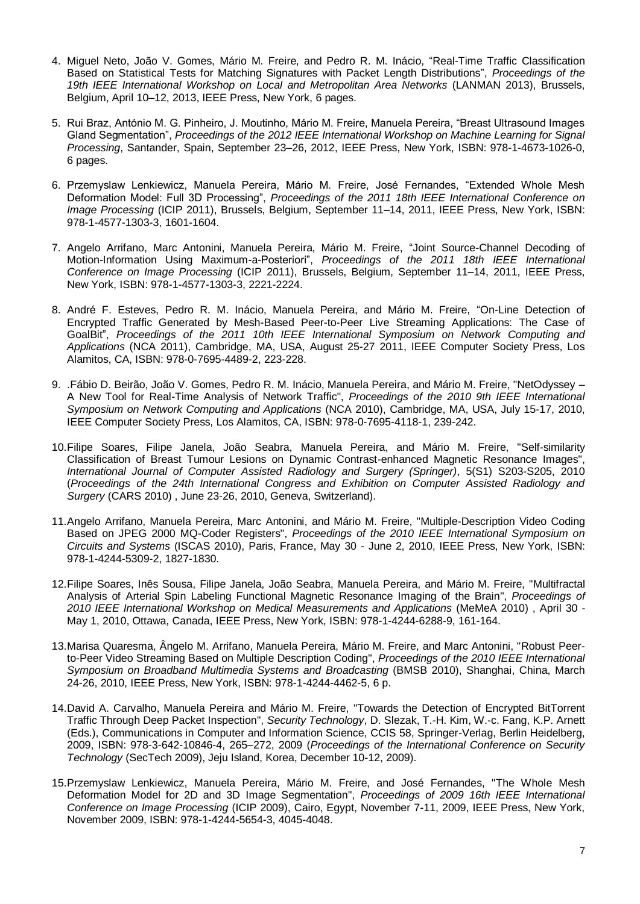- 4. Miguel Neto, João V. Gomes, Mário M. Freire, and Pedro R. M. Inácio, "Real-Time Traffic Classification Based on Statistical Tests for Matching Signatures with Packet Length Distributions", *Proceedings of the 19th IEEE International Workshop on Local and Metropolitan Area Networks* (LANMAN 2013), Brussels, Belgium, April 10–12, 2013, IEEE Press, New York, 6 pages.
- 5. Rui Braz, António M. G. Pinheiro, J. Moutinho, Mário M. Freire, Manuela Pereira, "Breast Ultrasound Images Gland Segmentation", *Proceedings of the 2012 IEEE International Workshop on Machine Learning for Signal Processing*, Santander, Spain, September 23–26, 2012, IEEE Press, New York, ISBN: 978-1-4673-1026-0, 6 pages.
- 6. Przemyslaw Lenkiewicz, Manuela Pereira, Mário M. Freire, José Fernandes, "Extended Whole Mesh Deformation Model: Full 3D Processing", *Proceedings of the 2011 18th IEEE International Conference on Image Processing* (ICIP 2011), Brussels, Belgium, September 11–14, 2011, IEEE Press, New York, ISBN: 978-1-4577-1303-3, 1601-1604.
- 7. Angelo Arrifano, Marc Antonini, Manuela Pereira, Mário M. Freire, "Joint Source-Channel Decoding of Motion-Information Using Maximum-a-Posteriori", *Proceedings of the 2011 18th IEEE International Conference on Image Processing* (ICIP 2011), Brussels, Belgium, September 11–14, 2011, IEEE Press, New York, ISBN: 978-1-4577-1303-3, 2221-2224.
- 8. André F. Esteves, Pedro R. M. Inácio, Manuela Pereira, and Mário M. Freire, "On-Line Detection of Encrypted Traffic Generated by Mesh-Based Peer-to-Peer Live Streaming Applications: The Case of GoalBit", *Proceedings of the 2011 10th IEEE International Symposium on Network Computing and Applications* (NCA 2011), Cambridge, MA, USA, August 25-27 2011, IEEE Computer Society Press, Los Alamitos, CA, ISBN: 978-0-7695-4489-2, 223-228.
- 9. .Fábio D. Beirão, João V. Gomes, Pedro R. M. Inácio, Manuela Pereira, and Mário M. Freire, "NetOdyssey A New Tool for Real-Time Analysis of Network Traffic", *Proceedings of the 2010 9th IEEE International Symposium on Network Computing and Applications* (NCA 2010), Cambridge, MA, USA, July 15-17, 2010, IEEE Computer Society Press, Los Alamitos, CA, ISBN: 978-0-7695-4118-1, 239-242.
- 10.Filipe Soares, Filipe Janela, João Seabra, Manuela Pereira, and Mário M. Freire, ["Self-similarity](http://floyd.di.ubi.pt/nmcg/pdf/2010-CARS.pdf)  [Classification of Breast Tumour Lesions on Dynamic Contrast-enhanced Magnetic Resonance Images"](http://floyd.di.ubi.pt/nmcg/pdf/2010-CARS.pdf), *International Journal of Computer Assisted Radiology and Surgery (Springer)*, 5(S1) S203-S205, 2010 (*Proceedings of the 24th International Congress and Exhibition on Computer Assisted Radiology and Surgery* (CARS 2010) , June 23-26, 2010, Geneva, Switzerland).
- 11.Angelo Arrifano, Manuela Pereira, Marc Antonini, and Mário M. Freire, ["Multiple-Description Video Coding](http://floyd.di.ubi.pt/nmcg/pdf/2010-ISCAS.pdf?sessionid=6398d7b62a2e78a214e53716495fe84d)  [Based on JPEG 2000 MQ-Coder Registers"](http://floyd.di.ubi.pt/nmcg/pdf/2010-ISCAS.pdf?sessionid=6398d7b62a2e78a214e53716495fe84d), *Proceedings of the 2010 IEEE International Symposium on Circuits and Systems* (ISCAS 2010), Paris, France, May 30 - June 2, 2010, IEEE Press, New York, ISBN: 978-1-4244-5309-2, 1827-1830.
- 12.Filipe Soares, Inês Sousa, Filipe Janela, João Seabra, Manuela Pereira, and Mário M. Freire, ["Multifractal](http://floyd.di.ubi.pt/nmcg/pdf/2010-MEMEA.pdf)  [Analysis of Arterial Spin Labeling Functional Magnetic Resonance Imaging of the Brain"](http://floyd.di.ubi.pt/nmcg/pdf/2010-MEMEA.pdf), *Proceedings of 2010 IEEE International Workshop on Medical Measurements and Applications* (MeMeA 2010) , April 30 - May 1, 2010, Ottawa, Canada, IEEE Press, New York, ISBN: 978-1-4244-6288-9, 161-164.
- 13.Marisa Quaresma, Ângelo M. Arrifano, Manuela Pereira, Mário M. Freire, and Marc Antonini, ["Robust Peer](http://floyd.di.ubi.pt/nmcg/pdf/2010-BMSB.pdf?sessionid=6398d7b62a2e78a214e53716495fe84d)[to-Peer Video Streaming Based on Multiple Description Coding"](http://floyd.di.ubi.pt/nmcg/pdf/2010-BMSB.pdf?sessionid=6398d7b62a2e78a214e53716495fe84d), *Proceedings of the 2010 IEEE International Symposium on Broadband Multimedia Systems and Broadcasting* (BMSB 2010), Shanghai, China, March 24-26, 2010, IEEE Press, New York, ISBN: 978-1-4244-4462-5, 6 p.
- 14.David A. Carvalho, Manuela Pereira and Mário M. Freire, ["Towards the Detection of Encrypted BitTorrent](http://floyd.di.ubi.pt/nmcg/pdf/2009-SecTech.pdf?sessionid=6398d7b62a2e78a214e53716495fe84d)  [Traffic Through Deep Packet Inspection"](http://floyd.di.ubi.pt/nmcg/pdf/2009-SecTech.pdf?sessionid=6398d7b62a2e78a214e53716495fe84d), *Security Technology*, D. Slezak, T.-H. Kim, W.-c. Fang, K.P. Arnett (Eds.), Communications in Computer and Information Science, CCIS 58, Springer-Verlag, Berlin Heidelberg, 2009, ISBN: 978-3-642-10846-4, 265–272, 2009 (*Proceedings of the International Conference on Security Technology* (SecTech 2009), Jeju Island, Korea, December 10-12, 2009).
- 15.Przemyslaw Lenkiewicz, Manuela Pereira, Mário M. Freire, and José Fernandes, ["The Whole Mesh](http://floyd.di.ubi.pt/nmcg/pdf/2009-ICIP.pdf)  [Deformation Model for 2D and 3D Image Segmentation"](http://floyd.di.ubi.pt/nmcg/pdf/2009-ICIP.pdf), *Proceedings of 2009 16th IEEE International Conference on Image Processing* (ICIP 2009), Cairo, Egypt, November 7-11, 2009, IEEE Press, New York, November 2009, ISBN: 978-1-4244-5654-3, 4045-4048.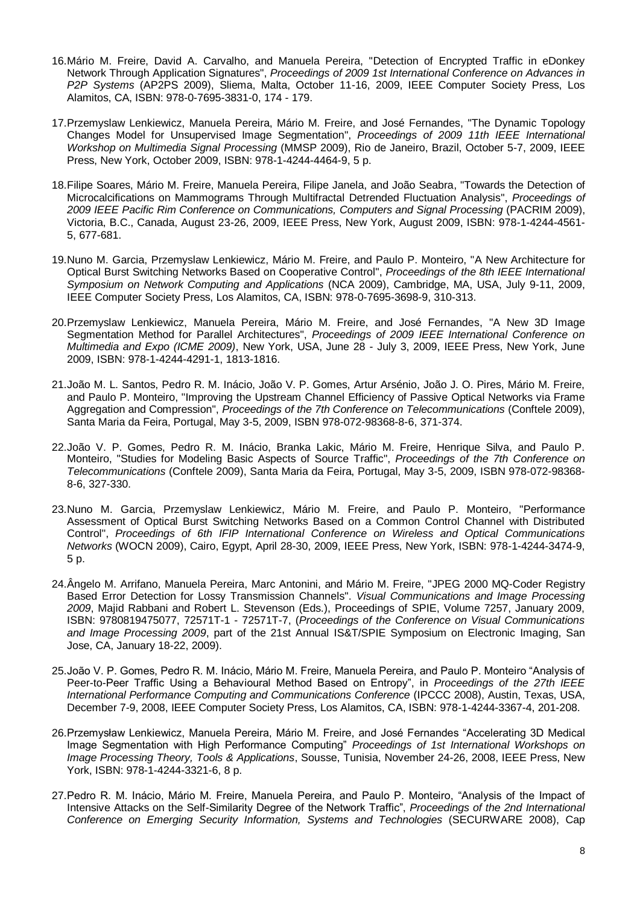- 16.Mário M. Freire, David A. Carvalho, and Manuela Pereira, ["Detection of Encrypted Traffic in eDonkey](http://floyd.di.ubi.pt/nmcg/pdf/2009-AP2PS.pdf?sessionid=6398d7b62a2e78a214e53716495fe84d)  [Network Through Application Signatures"](http://floyd.di.ubi.pt/nmcg/pdf/2009-AP2PS.pdf?sessionid=6398d7b62a2e78a214e53716495fe84d), *Proceedings of 2009 1st International Conference on Advances in P2P Systems* (AP2PS 2009), Sliema, Malta, October 11-16, 2009, IEEE Computer Society Press, Los Alamitos, CA, ISBN: 978-0-7695-3831-0, 174 - 179.
- 17.Przemyslaw Lenkiewicz, Manuela Pereira, Mário M. Freire, and José Fernandes, ["The Dynamic Topology](http://floyd.di.ubi.pt/nmcg/pdf/2009-MMSP.pdf)  [Changes Model for Unsupervised Image Segmentation"](http://floyd.di.ubi.pt/nmcg/pdf/2009-MMSP.pdf), *Proceedings of 2009 11th IEEE International Workshop on Multimedia Signal Processing* (MMSP 2009), Rio de Janeiro, Brazil, October 5-7, 2009, IEEE Press, New York, October 2009, ISBN: 978-1-4244-4464-9, 5 p.
- 18.Filipe Soares, Mário M. Freire, Manuela Pereira, Filipe Janela, and João Seabra, ["Towards the Detection of](http://floyd.di.ubi.pt/nmcg/pdf/2009-PACRIM.pdf)  [Microcalcifications on Mammograms Through Multifractal Detrended Fluctuation Analysis"](http://floyd.di.ubi.pt/nmcg/pdf/2009-PACRIM.pdf), *Proceedings of 2009 IEEE Pacific Rim Conference on Communications, Computers and Signal Processing* (PACRIM 2009), Victoria, B.C., Canada, August 23-26, 2009, IEEE Press, New York, August 2009, ISBN: 978-1-4244-4561- 5, 677-681.
- 19.Nuno M. Garcia, Przemyslaw Lenkiewicz, Mário M. Freire, and Paulo P. Monteiro, ["A New Architecture for](http://floyd.di.ubi.pt/nmcg/pdf/2009-NCA.pdf?sessionid=6398d7b62a2e78a214e53716495fe84d)  [Optical Burst Switching Networks Based on Cooperative Control"](http://floyd.di.ubi.pt/nmcg/pdf/2009-NCA.pdf?sessionid=6398d7b62a2e78a214e53716495fe84d), *Proceedings of the 8th IEEE International Symposium on Network Computing and Applications* (NCA 2009), Cambridge, MA, USA, July 9-11, 2009, IEEE Computer Society Press, Los Alamitos, CA, ISBN: 978-0-7695-3698-9, 310-313.
- 20.Przemyslaw Lenkiewicz, Manuela Pereira, Mário M. Freire, and José Fernandes, ["A New 3D Image](http://floyd.di.ubi.pt/nmcg/pdf/2009-ICME.pdf)  [Segmentation Method for Parallel Architectures"](http://floyd.di.ubi.pt/nmcg/pdf/2009-ICME.pdf), *Proceedings of 2009 IEEE International Conference on Multimedia and Expo (ICME 2009)*, New York, USA, June 28 - July 3, 2009, IEEE Press, New York, June 2009, ISBN: 978-1-4244-4291-1, 1813-1816.
- 21.João M. L. Santos, Pedro R. M. Inácio, João V. P. Gomes, Artur Arsénio, João J. O. Pires, Mário M. Freire, and Paulo P. Monteiro, "Improving the [Upstream Channel Efficiency of Passive Optical Networks via Frame](http://floyd.di.ubi.pt/nmcg/pdf/2009-Conftele2.pdf?sessionid=6398d7b62a2e78a214e53716495fe84d)  [Aggregation and Compression"](http://floyd.di.ubi.pt/nmcg/pdf/2009-Conftele2.pdf?sessionid=6398d7b62a2e78a214e53716495fe84d), *Proceedings of the 7th Conference on Telecommunications* (Conftele 2009), Santa Maria da Feira, Portugal, May 3-5, 2009, ISBN 978-072-98368-8-6, 371-374.
- 22.João V. P. Gomes, Pedro R. M. Inácio, Branka Lakic, Mário M. Freire, Henrique Silva, and Paulo P. Monteiro, ["Studies for Modeling Basic Aspects of Source Traffic"](http://floyd.di.ubi.pt/nmcg/pdf/2009-Conftele1.pdf?sessionid=6398d7b62a2e78a214e53716495fe84d), *Proceedings of the 7th Conference on Telecommunications* (Conftele 2009), Santa Maria da Feira, Portugal, May 3-5, 2009, ISBN 978-072-98368- 8-6, 327-330.
- 23.Nuno M. Garcia, Przemyslaw Lenkiewicz, Mário M. Freire, and Paulo P. Monteiro, ["Performance](http://floyd.di.ubi.pt/nmcg/pdf/2009-WOCN.pdf?sessionid=6398d7b62a2e78a214e53716495fe84d)  [Assessment of Optical Burst Switching Networks Based on a Common Control Channel with Distributed](http://floyd.di.ubi.pt/nmcg/pdf/2009-WOCN.pdf?sessionid=6398d7b62a2e78a214e53716495fe84d)  [Control"](http://floyd.di.ubi.pt/nmcg/pdf/2009-WOCN.pdf?sessionid=6398d7b62a2e78a214e53716495fe84d), *Proceedings of 6th IFIP International Conference on Wireless and Optical Communications Networks* (WOCN 2009), Cairo, Egypt, April 28-30, 2009, IEEE Press, New York, ISBN: 978-1-4244-3474-9, 5 p.
- 24.Ângelo M. Arrifano, Manuela Pereira, Marc Antonini, and Mário M. Freire, ["JPEG 2000 MQ-Coder Registry](http://floyd.di.ubi.pt/nmcg/pdf/2009-VCIP.pdf?sessionid=6398d7b62a2e78a214e53716495fe84d)  [Based Error Detection for Lossy Transmission Channels"](http://floyd.di.ubi.pt/nmcg/pdf/2009-VCIP.pdf?sessionid=6398d7b62a2e78a214e53716495fe84d). *Visual Communications and Image Processing 2009*, Majid Rabbani and Robert L. Stevenson (Eds.), Proceedings of SPIE, Volume 7257, January 2009, ISBN: 9780819475077, 72571T-1 - 72571T-7, (*Proceedings of the Conference on Visual Communications and Image Processing 2009*, part of the 21st Annual IS&T/SPIE Symposium on Electronic Imaging, San Jose, CA, January 18-22, 2009).
- 25.João V. P. Gomes, Pedro R. M. Inácio, Mário M. Freire, Manuela Pereira, and Paulo P. Monteiro "Analysis of Peer-to-Peer Traffic Using a Behavioural Method Based on Entropy", in *Proceedings of the 27th IEEE International Performance Computing and Communications Conference* (IPCCC 2008), Austin, Texas, USA, December 7-9, 2008, IEEE Computer Society Press, Los Alamitos, CA, ISBN: 978-1-4244-3367-4, 201-208.
- 26.Przemysław Lenkiewicz, Manuela Pereira, Mário M. Freire, and José Fernandes "Accelerating 3D Medical Image Segmentation with High Performance Computing" *Proceedings of 1st International Workshops on Image Processing Theory, Tools & Applications*, Sousse, Tunisia, November 24-26, 2008, IEEE Press, New York, ISBN: 978-1-4244-3321-6, 8 p.
- 27.Pedro R. M. Inácio, Mário M. Freire, Manuela Pereira, and Paulo P. Monteiro, "Analysis of the Impact of Intensive Attacks on the Self-Similarity Degree of the Network Traffic", *Proceedings of the 2nd International Conference on Emerging Security Information, Systems and Technologies* (SECURWARE 2008), Cap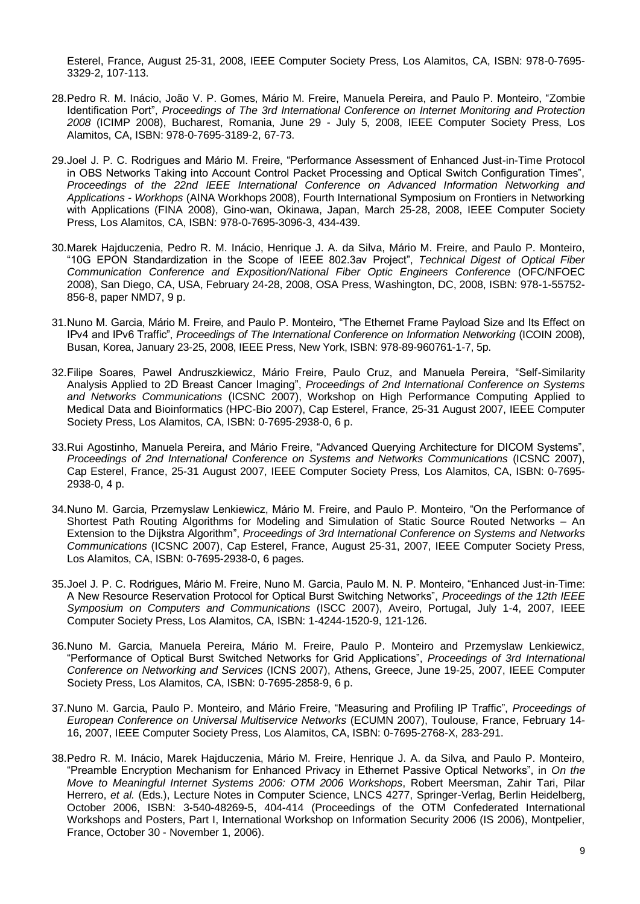Esterel, France, August 25-31, 2008, IEEE Computer Society Press, Los Alamitos, CA, ISBN: 978-0-7695- 3329-2, 107-113.

- 28.Pedro R. M. Inácio, João V. P. Gomes, Mário M. Freire, Manuela Pereira, and Paulo P. Monteiro, "Zombie Identification Port", *Proceedings of The 3rd International Conference on Internet Monitoring and Protection 2008* (ICIMP 2008), Bucharest, Romania, June 29 - July 5, 2008, IEEE Computer Society Press, Los Alamitos, CA, ISBN: 978-0-7695-3189-2, 67-73.
- 29.Joel J. P. C. Rodrigues and Mário M. Freire, "Performance Assessment of Enhanced Just-in-Time Protocol in OBS Networks Taking into Account Control Packet Processing and Optical Switch Configuration Times", *Proceedings of the 22nd IEEE International Conference on Advanced Information Networking and Applications - Workhops* (AINA Workhops 2008), Fourth International Symposium on Frontiers in Networking with Applications (FINA 2008), Gino-wan, Okinawa, Japan, March 25-28, 2008, IEEE Computer Society Press, Los Alamitos, CA, ISBN: 978-0-7695-3096-3, 434-439.
- 30.Marek Hajduczenia, Pedro R. M. Inácio, Henrique J. A. da Silva, Mário M. Freire, and Paulo P. Monteiro, "10G EPON Standardization in the Scope of IEEE 802.3av Project", *Technical Digest of Optical Fiber Communication Conference and Exposition/National Fiber Optic Engineers Conference* (OFC/NFOEC 2008), San Diego, CA, USA, February 24-28, 2008, OSA Press, Washington, DC, 2008, ISBN: 978-1-55752- 856-8, paper NMD7, 9 p.
- 31.Nuno M. Garcia, Mário M. Freire, and Paulo P. Monteiro, "The Ethernet Frame Payload Size and Its Effect on IPv4 and IPv6 Traffic", *Proceedings of The International Conference on Information Networking* (ICOIN 2008), Busan, Korea, January 23-25, 2008, IEEE Press, New York, ISBN: 978-89-960761-1-7, 5p.
- 32.Filipe Soares, Pawel Andruszkiewicz, Mário Freire, Paulo Cruz, and Manuela Pereira, "Self-Similarity Analysis Applied to 2D Breast Cancer Imaging", *Proceedings of 2nd International Conference on Systems and Networks Communications* (ICSNC 2007), Workshop on High Performance Computing Applied to Medical Data and Bioinformatics (HPC-Bio 2007), Cap Esterel, France, 25-31 August 2007, IEEE Computer Society Press, Los Alamitos, CA, ISBN: 0-7695-2938-0, 6 p.
- 33.Rui Agostinho, Manuela Pereira, and Mário Freire, "Advanced Querying Architecture for DICOM Systems", *Proceedings of 2nd International Conference on Systems and Networks Communications* (ICSNC 2007), Cap Esterel, France, 25-31 August 2007, IEEE Computer Society Press, Los Alamitos, CA, ISBN: 0-7695- 2938-0, 4 p.
- 34.Nuno M. Garcia, Przemyslaw Lenkiewicz, Mário M. Freire, and Paulo P. Monteiro, "On the Performance of Shortest Path Routing Algorithms for Modeling and Simulation of Static Source Routed Networks – An Extension to the Dijkstra Algorithm", *Proceedings of 3rd International Conference on Systems and Networks Communications* (ICSNC 2007), Cap Esterel, France, August 25-31, 2007, IEEE Computer Society Press, Los Alamitos, CA, ISBN: 0-7695-2938-0, 6 pages.
- 35.Joel J. P. C. Rodrigues, Mário M. Freire, Nuno M. Garcia, Paulo M. N. P. Monteiro, "Enhanced Just-in-Time: A New Resource Reservation Protocol for Optical Burst Switching Networks", *Proceedings of the 12th IEEE Symposium on Computers and Communications* (ISCC 2007), Aveiro, Portugal, July 1-4, 2007, IEEE Computer Society Press, Los Alamitos, CA, ISBN: 1-4244-1520-9, 121-126.
- 36.Nuno M. Garcia, Manuela Pereira, Mário M. Freire, Paulo P. Monteiro and Przemyslaw Lenkiewicz, "Performance of Optical Burst Switched Networks for Grid Applications", *Proceedings of 3rd International Conference on Networking and Services* (ICNS 2007), Athens, Greece, June 19-25, 2007, IEEE Computer Society Press, Los Alamitos, CA, ISBN: 0-7695-2858-9, 6 p.
- 37.Nuno M. Garcia, Paulo P. Monteiro, and Mário Freire, "Measuring and Profiling IP Traffic", *Proceedings of European Conference on Universal Multiservice Networks* (ECUMN 2007), Toulouse, France, February 14- 16, 2007, IEEE Computer Society Press, Los Alamitos, CA, ISBN: 0-7695-2768-X, 283-291.
- 38.Pedro R. M. Inácio, Marek Hajduczenia, Mário M. Freire, Henrique J. A. da Silva, and Paulo P. Monteiro, "Preamble Encryption Mechanism for Enhanced Privacy in Ethernet Passive Optical Networks", in *On the Move to Meaningful Internet Systems 2006: OTM 2006 Workshops*, Robert Meersman, Zahir Tari, Pilar Herrero, *et al.* (Eds.), Lecture Notes in Computer Science, LNCS 4277, Springer-Verlag, Berlin Heidelberg, October 2006, ISBN: 3-540-48269-5, 404-414 (Proceedings of the OTM Confederated International Workshops and Posters, Part I, International Workshop on Information Security 2006 (IS 2006), Montpelier, France, October 30 - November 1, 2006).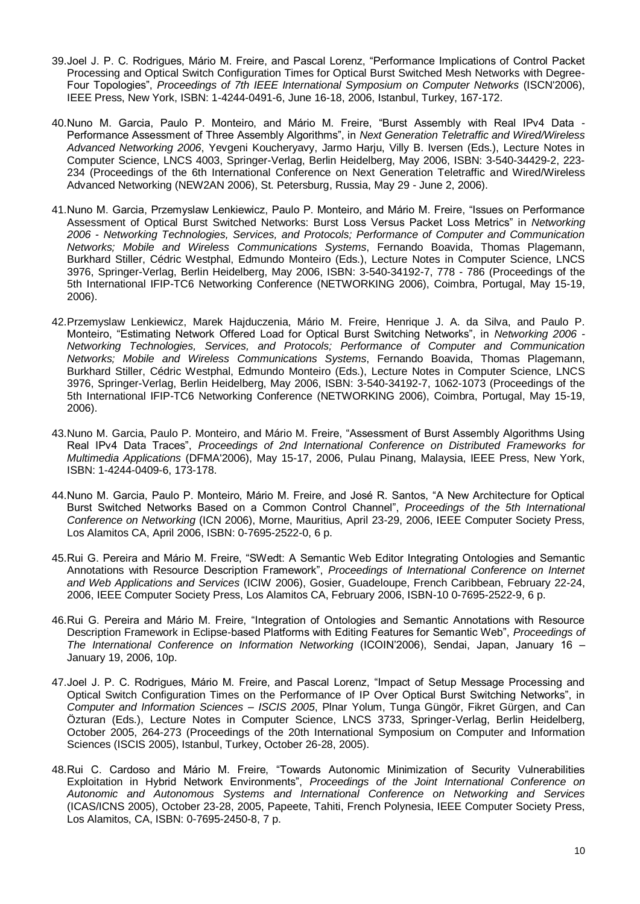- 39.Joel J. P. C. Rodrigues, Mário M. Freire, and Pascal Lorenz, "Performance Implications of Control Packet Processing and Optical Switch Configuration Times for Optical Burst Switched Mesh Networks with Degree-Four Topologies", *Proceedings of 7th IEEE International Symposium on Computer Networks* (ISCN'2006), IEEE Press, New York, ISBN: 1-4244-0491-6, June 16-18, 2006, Istanbul, Turkey, 167-172.
- 40.Nuno M. Garcia, Paulo P. Monteiro, and Mário M. Freire, "Burst Assembly with Real IPv4 Data Performance Assessment of Three Assembly Algorithms", in *Next Generation Teletraffic and Wired/Wireless Advanced Networking 2006*, Yevgeni Koucheryavy, Jarmo Harju, Villy B. Iversen (Eds.), Lecture Notes in Computer Science, LNCS 4003, Springer-Verlag, Berlin Heidelberg, May 2006, ISBN: 3-540-34429-2, 223- 234 (Proceedings of the 6th International Conference on Next Generation Teletraffic and Wired/Wireless Advanced Networking (NEW2AN 2006), St. Petersburg, Russia, May 29 - June 2, 2006).
- 41.Nuno M. Garcia, Przemyslaw Lenkiewicz, Paulo P. Monteiro, and Mário M. Freire, "Issues on Performance Assessment of Optical Burst Switched Networks: Burst Loss Versus Packet Loss Metrics" in *Networking 2006 - Networking Technologies, Services, and Protocols; Performance of Computer and Communication Networks; Mobile and Wireless Communications Systems*, Fernando Boavida, Thomas Plagemann, Burkhard Stiller, Cédric Westphal, Edmundo Monteiro (Eds.), Lecture Notes in Computer Science, LNCS 3976, Springer-Verlag, Berlin Heidelberg, May 2006, ISBN: 3-540-34192-7, 778 - 786 (Proceedings of the 5th International IFIP-TC6 Networking Conference (NETWORKING 2006), Coimbra, Portugal, May 15-19, 2006).
- 42.Przemyslaw Lenkiewicz, Marek Hajduczenia, Mário M. Freire, Henrique J. A. da Silva, and Paulo P. Monteiro, "Estimating Network Offered Load for Optical Burst Switching Networks", in *Networking 2006 - Networking Technologies, Services, and Protocols; Performance of Computer and Communication Networks; Mobile and Wireless Communications Systems*, Fernando Boavida, Thomas Plagemann, Burkhard Stiller, Cédric Westphal, Edmundo Monteiro (Eds.), Lecture Notes in Computer Science, LNCS 3976, Springer-Verlag, Berlin Heidelberg, May 2006, ISBN: 3-540-34192-7, 1062-1073 (Proceedings of the 5th International IFIP-TC6 Networking Conference (NETWORKING 2006), Coimbra, Portugal, May 15-19, 2006).
- 43.Nuno M. Garcia, Paulo P. Monteiro, and Mário M. Freire, "Assessment of Burst Assembly Algorithms Using Real IPv4 Data Traces", *Proceedings of 2nd International Conference on Distributed Frameworks for Multimedia Applications* (DFMA'2006), May 15-17, 2006, Pulau Pinang, Malaysia, IEEE Press, New York, ISBN: 1-4244-0409-6, 173-178.
- 44.Nuno M. Garcia, Paulo P. Monteiro, Mário M. Freire, and José R. Santos, "A New Architecture for Optical Burst Switched Networks Based on a Common Control Channel", *Proceedings of the 5th International Conference on Networking* (ICN 2006), Morne, Mauritius, April 23-29, 2006, IEEE Computer Society Press, Los Alamitos CA, April 2006, ISBN: 0-7695-2522-0, 6 p.
- 45.Rui G. Pereira and Mário M. Freire, "SWedt: A Semantic Web Editor Integrating Ontologies and Semantic Annotations with Resource Description Framework", *Proceedings of International Conference on Internet and Web Applications and Services* (ICIW 2006), Gosier, Guadeloupe, French Caribbean, February 22-24, 2006, IEEE Computer Society Press, Los Alamitos CA, February 2006, ISBN-10 0-7695-2522-9, 6 p.
- 46.Rui G. Pereira and Mário M. Freire, "Integration of Ontologies and Semantic Annotations with Resource Description Framework in Eclipse-based Platforms with Editing Features for Semantic Web", *Proceedings of The International Conference on Information Networking* (ICOIN'2006), Sendai, Japan, January 16 – January 19, 2006, 10p.
- 47.Joel J. P. C. Rodrigues, Mário M. Freire, and Pascal Lorenz, "Impact of Setup Message Processing and Optical Switch Configuration Times on the Performance of IP Over Optical Burst Switching Networks", in *Computer and Information Sciences – ISCIS 2005*, Plnar Yolum, Tunga Güngör, Fikret Gürgen, and Can Özturan (Eds.), Lecture Notes in Computer Science, LNCS 3733, Springer-Verlag, Berlin Heidelberg, October 2005, 264-273 (Proceedings of the 20th International Symposium on Computer and Information Sciences (ISCIS 2005), Istanbul, Turkey, October 26-28, 2005).
- 48.Rui C. Cardoso and Mário M. Freire, "Towards Autonomic Minimization of Security Vulnerabilities Exploitation in Hybrid Network Environments", *Proceedings of the Joint International Conference on Autonomic and Autonomous Systems and International Conference on Networking and Services*  (ICAS/ICNS 2005), October 23-28, 2005, Papeete, Tahiti, French Polynesia, IEEE Computer Society Press, Los Alamitos, CA, ISBN: 0-7695-2450-8, 7 p.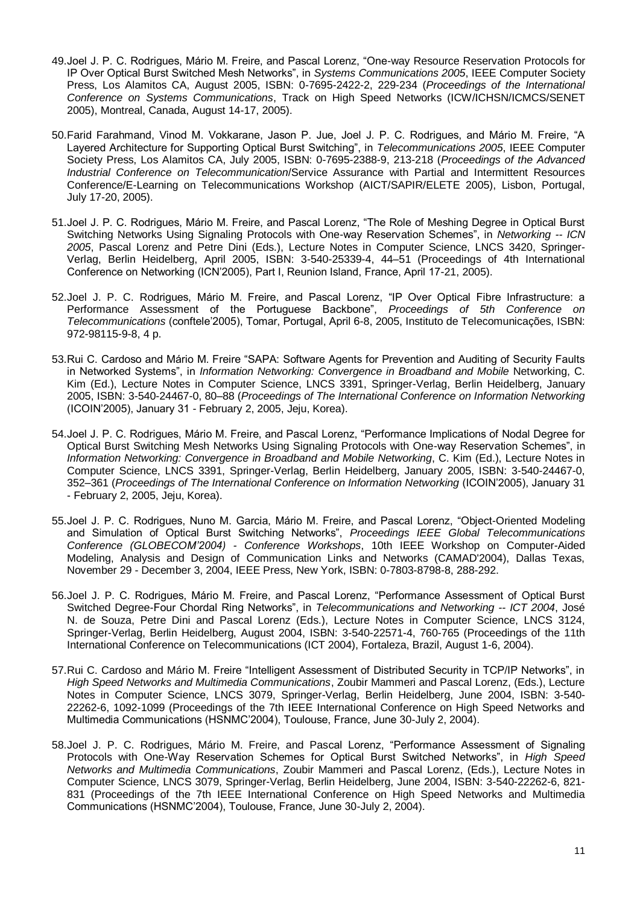- 49.Joel J. P. C. Rodrigues, Mário M. Freire, and Pascal Lorenz, "One-way Resource Reservation Protocols for IP Over Optical Burst Switched Mesh Networks", in *Systems Communications 2005*, IEEE Computer Society Press, Los Alamitos CA, August 2005, ISBN: 0-7695-2422-2, 229-234 (*Proceedings of the International Conference on Systems Communications*, Track on High Speed Networks (ICW/ICHSN/ICMCS/SENET 2005), Montreal, Canada, August 14-17, 2005).
- 50.Farid Farahmand, Vinod M. Vokkarane, Jason P. Jue, Joel J. P. C. Rodrigues, and Mário M. Freire, "A Layered Architecture for Supporting Optical Burst Switching", in *Telecommunications 2005*, IEEE Computer Society Press, Los Alamitos CA, July 2005, ISBN: 0-7695-2388-9, 213-218 (*Proceedings of the Advanced Industrial Conference on Telecommunication*/Service Assurance with Partial and Intermittent Resources Conference/E-Learning on Telecommunications Workshop (AICT/SAPIR/ELETE 2005), Lisbon, Portugal, July 17-20, 2005).
- 51.Joel J. P. C. Rodrigues, Mário M. Freire, and Pascal Lorenz, "The Role of Meshing Degree in Optical Burst Switching Networks Using Signaling Protocols with One-way Reservation Schemes", in *Networking -- ICN 2005*, Pascal Lorenz and Petre Dini (Eds.), Lecture Notes in Computer Science, LNCS 3420, Springer-Verlag, Berlin Heidelberg, April 2005, ISBN: 3-540-25339-4, 44–51 (Proceedings of 4th International Conference on Networking (ICN'2005), Part I, Reunion Island, France, April 17-21, 2005).
- 52.Joel J. P. C. Rodrigues, Mário M. Freire, and Pascal Lorenz, "IP Over Optical Fibre Infrastructure: a Performance Assessment of the Portuguese Backbone", *Proceedings of 5th Conference on Telecommunications* (conftele'2005), Tomar, Portugal, April 6-8, 2005, Instituto de Telecomunicações, ISBN: 972-98115-9-8, 4 p.
- 53.Rui C. Cardoso and Mário M. Freire "SAPA: Software Agents for Prevention and Auditing of Security Faults in Networked Systems", in *Information Networking: Convergence in Broadband and Mobile* Networking, C. Kim (Ed.), Lecture Notes in Computer Science, LNCS 3391, Springer-Verlag, Berlin Heidelberg, January 2005, ISBN: 3-540-24467-0, 80–88 (*Proceedings of The International Conference on Information Networking* (ICOIN'2005), January 31 - February 2, 2005, Jeju, Korea).
- 54.Joel J. P. C. Rodrigues, Mário M. Freire, and Pascal Lorenz, "Performance Implications of Nodal Degree for Optical Burst Switching Mesh Networks Using Signaling Protocols with One-way Reservation Schemes", in *Information Networking: Convergence in Broadband and Mobile Networking*, C. Kim (Ed.), Lecture Notes in Computer Science, LNCS 3391, Springer-Verlag, Berlin Heidelberg, January 2005, ISBN: 3-540-24467-0, 352–361 (*Proceedings of The International Conference on Information Networking* (ICOIN'2005), January 31 - February 2, 2005, Jeju, Korea).
- 55.Joel J. P. C. Rodrigues, Nuno M. Garcia, Mário M. Freire, and Pascal Lorenz, "Object-Oriented Modeling and Simulation of Optical Burst Switching Networks", *Proceedings IEEE Global Telecommunications Conference (GLOBECOM'2004) - Conference Workshops*, 10th IEEE Workshop on Computer-Aided Modeling, Analysis and Design of Communication Links and Networks (CAMAD'2004), Dallas Texas, November 29 - December 3, 2004, IEEE Press, New York, ISBN: 0-7803-8798-8, 288-292.
- 56.Joel J. P. C. Rodrigues, Mário M. Freire, and Pascal Lorenz, "Performance Assessment of Optical Burst Switched Degree-Four Chordal Ring Networks", in *Telecommunications and Networking -- ICT 2004*, José N. de Souza, Petre Dini and Pascal Lorenz (Eds.), Lecture Notes in Computer Science, LNCS 3124, Springer-Verlag, Berlin Heidelberg, August 2004, ISBN: 3-540-22571-4, 760-765 (Proceedings of the 11th International Conference on Telecommunications (ICT 2004), Fortaleza, Brazil, August 1-6, 2004).
- 57.Rui C. Cardoso and Mário M. Freire "Intelligent Assessment of Distributed Security in TCP/IP Networks", in *High Speed Networks and Multimedia Communications*, Zoubir Mammeri and Pascal Lorenz, (Eds.), Lecture Notes in Computer Science, LNCS 3079, Springer-Verlag, Berlin Heidelberg, June 2004, ISBN: 3-540- 22262-6, 1092-1099 (Proceedings of the 7th IEEE International Conference on High Speed Networks and Multimedia Communications (HSNMC'2004), Toulouse, France, June 30-July 2, 2004).
- 58.Joel J. P. C. Rodrigues, Mário M. Freire, and Pascal Lorenz, "Performance Assessment of Signaling Protocols with One-Way Reservation Schemes for Optical Burst Switched Networks", in *High Speed Networks and Multimedia Communications*, Zoubir Mammeri and Pascal Lorenz, (Eds.), Lecture Notes in Computer Science, LNCS 3079, Springer-Verlag, Berlin Heidelberg, June 2004, ISBN: 3-540-22262-6, 821- 831 (Proceedings of the 7th IEEE International Conference on High Speed Networks and Multimedia Communications (HSNMC'2004), Toulouse, France, June 30-July 2, 2004).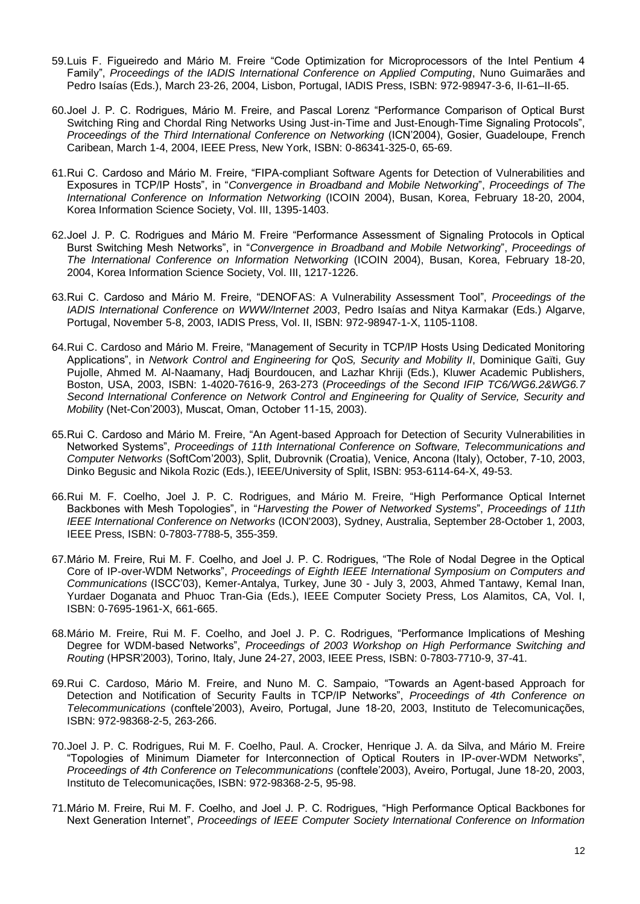- 59.Luis F. Figueiredo and Mário M. Freire "Code Optimization for Microprocessors of the Intel Pentium 4 Family", *Proceedings of the IADIS International Conference on Applied Computing*, Nuno Guimarães and Pedro Isaías (Eds.), March 23-26, 2004, Lisbon, Portugal, IADIS Press, ISBN: 972-98947-3-6, II-61–II-65.
- 60.Joel J. P. C. Rodrigues, Mário M. Freire, and Pascal Lorenz "Performance Comparison of Optical Burst Switching Ring and Chordal Ring Networks Using Just-in-Time and Just-Enough-Time Signaling Protocols", *Proceedings of the Third International Conference on Networking* (ICN'2004), Gosier, Guadeloupe, French Caribean, March 1-4, 2004, IEEE Press, New York, ISBN: 0-86341-325-0, 65-69.
- 61.Rui C. Cardoso and Mário M. Freire, "FIPA-compliant Software Agents for Detection of Vulnerabilities and Exposures in TCP/IP Hosts", in "*Convergence in Broadband and Mobile Networking*", *Proceedings of The International Conference on Information Networking* (ICOIN 2004), Busan, Korea, February 18-20, 2004, Korea Information Science Society, Vol. III, 1395-1403.
- 62.Joel J. P. C. Rodrigues and Mário M. Freire "Performance Assessment of Signaling Protocols in Optical Burst Switching Mesh Networks", in "*Convergence in Broadband and Mobile Networking*", *Proceedings of The International Conference on Information Networking* (ICOIN 2004), Busan, Korea, February 18-20, 2004, Korea Information Science Society, Vol. III, 1217-1226.
- 63.Rui C. Cardoso and Mário M. Freire, "DENOFAS: A Vulnerability Assessment Tool", *Proceedings of the IADIS International Conference on WWW/Internet 2003*, Pedro Isaías and Nitya Karmakar (Eds.) Algarve, Portugal, November 5-8, 2003, IADIS Press, Vol. II, ISBN: 972-98947-1-X, 1105-1108.
- 64.Rui C. Cardoso and Mário M. Freire, "Management of Security in TCP/IP Hosts Using Dedicated Monitoring Applications", in *Network Control and Engineering for QoS, Security and Mobility II*, Dominique Gaïti, Guy Pujolle, Ahmed M. Al-Naamany, Hadj Bourdoucen, and Lazhar Khriji (Eds.), Kluwer Academic Publishers, Boston, USA, 2003, ISBN: 1-4020-7616-9, 263-273 (*Proceedings of the Second IFIP TC6/WG6.2&WG6.7 Second International Conference on Network Control and Engineering for Quality of Service, Security and Mobilit*y (Net-Con'2003), Muscat, Oman, October 11-15, 2003).
- 65.Rui C. Cardoso and Mário M. Freire, "An Agent-based Approach for Detection of Security Vulnerabilities in Networked Systems", *Proceedings of 11th International Conference on Software, Telecommunications and Computer Networks* (SoftCom'2003), Split, Dubrovnik (Croatia), Venice, Ancona (Italy), October, 7-10, 2003, Dinko Begusic and Nikola Rozic (Eds.), IEEE/University of Split, ISBN: 953-6114-64-X, 49-53.
- 66.Rui M. F. Coelho, Joel J. P. C. Rodrigues, and Mário M. Freire, "High Performance Optical Internet Backbones with Mesh Topologies", in "*Harvesting the Power of Networked Systems*", *Proceedings of 11th IEEE International Conference on Networks* (ICON'2003), Sydney, Australia, September 28-October 1, 2003, IEEE Press, ISBN: 0-7803-7788-5, 355-359.
- 67.Mário M. Freire, Rui M. F. Coelho, and Joel J. P. C. Rodrigues, "The Role of Nodal Degree in the Optical Core of IP-over-WDM Networks", *Proceedings of Eighth IEEE International Symposium on Computers and Communications* (ISCC'03), Kemer-Antalya, Turkey, June 30 - July 3, 2003, Ahmed Tantawy, Kemal Inan, Yurdaer Doganata and Phuoc Tran-Gia (Eds.), IEEE Computer Society Press, Los Alamitos, CA, Vol. I, ISBN: 0-7695-1961-X, 661-665.
- 68.Mário M. Freire, Rui M. F. Coelho, and Joel J. P. C. Rodrigues, "Performance Implications of Meshing Degree for WDM-based Networks", *Proceedings of 2003 Workshop on High Performance Switching and Routing* (HPSR'2003), Torino, Italy, June 24-27, 2003, IEEE Press, ISBN: 0-7803-7710-9, 37-41.
- 69.Rui C. Cardoso, Mário M. Freire, and Nuno M. C. Sampaio, "Towards an Agent-based Approach for Detection and Notification of Security Faults in TCP/IP Networks", *Proceedings of 4th Conference on Telecommunications* (conftele'2003), Aveiro, Portugal, June 18-20, 2003, Instituto de Telecomunicações, ISBN: 972-98368-2-5, 263-266.
- 70.Joel J. P. C. Rodrigues, Rui M. F. Coelho, Paul. A. Crocker, Henrique J. A. da Silva, and Mário M. Freire "Topologies of Minimum Diameter for Interconnection of Optical Routers in IP-over-WDM Networks", *Proceedings of 4th Conference on Telecommunications* (conftele'2003), Aveiro, Portugal, June 18-20, 2003, Instituto de Telecomunicações, ISBN: 972-98368-2-5, 95-98.
- 71.Mário M. Freire, Rui M. F. Coelho, and Joel J. P. C. Rodrigues, "High Performance Optical Backbones for Next Generation Internet", *Proceedings of IEEE Computer Society International Conference on Information*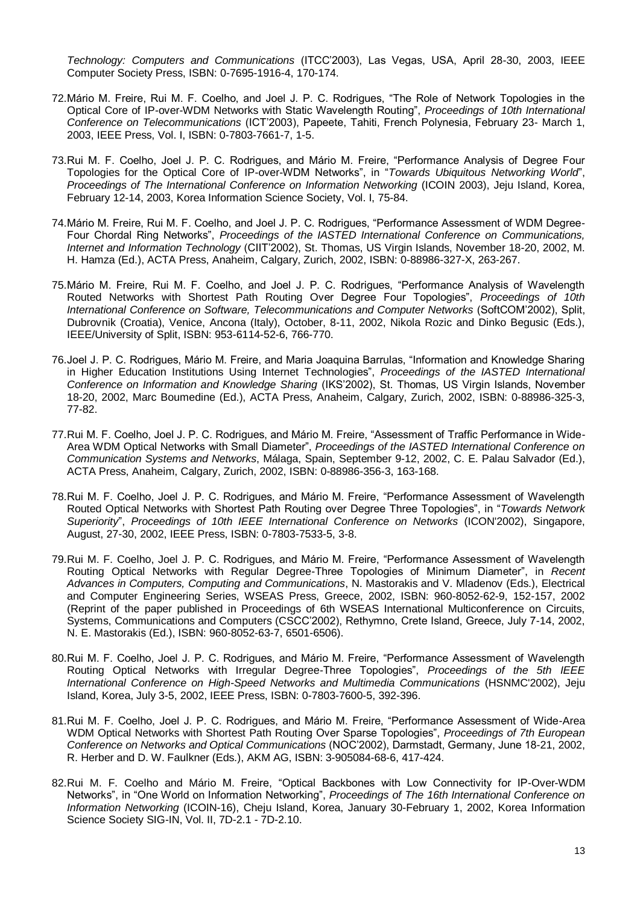*Technology: Computers and Communications* (ITCC'2003), Las Vegas, USA, April 28-30, 2003, IEEE Computer Society Press, ISBN: 0-7695-1916-4, 170-174.

- 72.Mário M. Freire, Rui M. F. Coelho, and Joel J. P. C. Rodrigues, "The Role of Network Topologies in the Optical Core of IP-over-WDM Networks with Static Wavelength Routing", *Proceedings of 10th International Conference on Telecommunications* (ICT'2003), Papeete, Tahiti, French Polynesia, February 23- March 1, 2003, IEEE Press, Vol. I, ISBN: 0-7803-7661-7, 1-5.
- 73.Rui M. F. Coelho, Joel J. P. C. Rodrigues, and Mário M. Freire, "Performance Analysis of Degree Four Topologies for the Optical Core of IP-over-WDM Networks", in "*Towards Ubiquitous Networking World*", *Proceedings of The International Conference on Information Networking* (ICOIN 2003), Jeju Island, Korea, February 12-14, 2003, Korea Information Science Society, Vol. I, 75-84.
- 74.Mário M. Freire, Rui M. F. Coelho, and Joel J. P. C. Rodrigues, "Performance Assessment of WDM Degree-Four Chordal Ring Networks", *Proceedings of the IASTED International Conference on Communications, Internet and Information Technology* (CIIT'2002), St. Thomas, US Virgin Islands, November 18-20, 2002, M. H. Hamza (Ed.), ACTA Press, Anaheim, Calgary, Zurich, 2002, ISBN: 0-88986-327-X, 263-267.
- 75.Mário M. Freire, Rui M. F. Coelho, and Joel J. P. C. Rodrigues, "Performance Analysis of Wavelength Routed Networks with Shortest Path Routing Over Degree Four Topologies", *Proceedings of 10th International Conference on Software, Telecommunications and Computer Networks* (SoftCOM'2002), Split, Dubrovnik (Croatia), Venice, Ancona (Italy), October, 8-11, 2002, Nikola Rozic and Dinko Begusic (Eds.), IEEE/University of Split, ISBN: 953-6114-52-6, 766-770.
- 76.Joel J. P. C. Rodrigues, Mário M. Freire, and Maria Joaquina Barrulas, "Information and Knowledge Sharing in Higher Education Institutions Using Internet Technologies", *Proceedings of the IASTED International Conference on Information and Knowledge Sharing* (IKS'2002), St. Thomas, US Virgin Islands, November 18-20, 2002, Marc Boumedine (Ed.), ACTA Press, Anaheim, Calgary, Zurich, 2002, ISBN: 0-88986-325-3, 77-82.
- 77.Rui M. F. Coelho, Joel J. P. C. Rodrigues, and Mário M. Freire, "Assessment of Traffic Performance in Wide-Area WDM Optical Networks with Small Diameter", *Proceedings of the IASTED International Conference on Communication Systems and Networks*, Málaga, Spain, September 9-12, 2002, C. E. Palau Salvador (Ed.), ACTA Press, Anaheim, Calgary, Zurich, 2002, ISBN: 0-88986-356-3, 163-168.
- 78.Rui M. F. Coelho, Joel J. P. C. Rodrigues, and Mário M. Freire, "Performance Assessment of Wavelength Routed Optical Networks with Shortest Path Routing over Degree Three Topologies", in "*Towards Network Superiority*", *Proceedings of 10th IEEE International Conference on Networks* (ICON'2002), Singapore, August, 27-30, 2002, IEEE Press, ISBN: 0-7803-7533-5, 3-8.
- 79.Rui M. F. Coelho, Joel J. P. C. Rodrigues, and Mário M. Freire, "Performance Assessment of Wavelength Routing Optical Networks with Regular Degree-Three Topologies of Minimum Diameter", in *Recent Advances in Computers, Computing and Communications*, N. Mastorakis and V. Mladenov (Eds.), Electrical and Computer Engineering Series, WSEAS Press, Greece, 2002, ISBN: 960-8052-62-9, 152-157, 2002 (Reprint of the paper published in Proceedings of 6th WSEAS International Multiconference on Circuits, Systems, Communications and Computers (CSCC'2002), Rethymno, Crete Island, Greece, July 7-14, 2002, N. E. Mastorakis (Ed.), ISBN: 960-8052-63-7, 6501-6506).
- 80.Rui M. F. Coelho, Joel J. P. C. Rodrigues, and Mário M. Freire, "Performance Assessment of Wavelength Routing Optical Networks with Irregular Degree-Three Topologies", *Proceedings of the 5th IEEE International Conference on High-Speed Networks and Multimedia Communications* (HSNMC'2002), Jeju Island, Korea, July 3-5, 2002, IEEE Press, ISBN: 0-7803-7600-5, 392-396.
- 81.Rui M. F. Coelho, Joel J. P. C. Rodrigues, and Mário M. Freire, "Performance Assessment of Wide-Area WDM Optical Networks with Shortest Path Routing Over Sparse Topologies", *Proceedings of 7th European Conference on Networks and Optical Communications* (NOC'2002), Darmstadt, Germany, June 18-21, 2002, R. Herber and D. W. Faulkner (Eds.), AKM AG, ISBN: 3-905084-68-6, 417-424.
- 82.Rui M. F. Coelho and Mário M. Freire, "Optical Backbones with Low Connectivity for IP-Over-WDM Networks", in "One World on Information Networking", *Proceedings of The 16th International Conference on Information Networking* (ICOIN-16), Cheju Island, Korea, January 30-February 1, 2002, Korea Information Science Society SIG-IN, Vol. II, 7D-2.1 - 7D-2.10.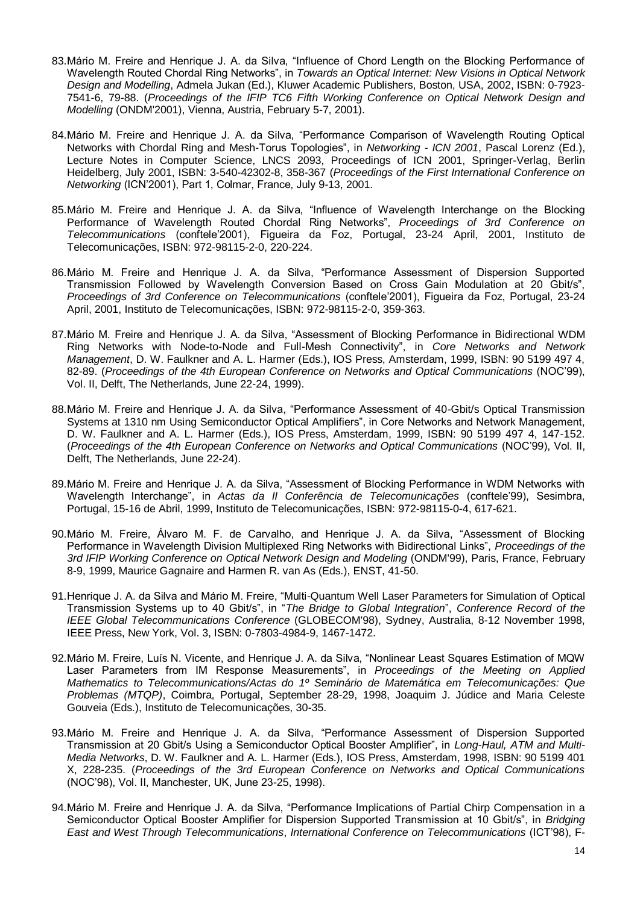- 83.Mário M. Freire and Henrique J. A. da Silva, "Influence of Chord Length on the Blocking Performance of Wavelength Routed Chordal Ring Networks", in *Towards an Optical Internet: New Visions in Optical Network Design and Modelling*, Admela Jukan (Ed.), Kluwer Academic Publishers, Boston, USA, 2002, ISBN: 0-7923- 7541-6, 79-88. (*Proceedings of the IFIP TC6 Fifth Working Conference on Optical Network Design and Modelling* (ONDM'2001), Vienna, Austria, February 5-7, 2001).
- 84.Mário M. Freire and Henrique J. A. da Silva, "Performance Comparison of Wavelength Routing Optical Networks with Chordal Ring and Mesh-Torus Topologies", in *Networking - ICN 2001*, Pascal Lorenz (Ed.), Lecture Notes in Computer Science, LNCS 2093, Proceedings of ICN 2001, Springer-Verlag, Berlin Heidelberg, July 2001, ISBN: 3-540-42302-8, 358-367 (*Proceedings of the First International Conference on Networking* (ICN'2001), Part 1, Colmar, France, July 9-13, 2001.
- 85.Mário M. Freire and Henrique J. A. da Silva, "Influence of Wavelength Interchange on the Blocking Performance of Wavelength Routed Chordal Ring Networks", *Proceedings of 3rd Conference on Telecommunications* (conftele'2001), Figueira da Foz, Portugal, 23-24 April, 2001, Instituto de Telecomunicações, ISBN: 972-98115-2-0, 220-224.
- 86.Mário M. Freire and Henrique J. A. da Silva, "Performance Assessment of Dispersion Supported Transmission Followed by Wavelength Conversion Based on Cross Gain Modulation at 20 Gbit/s", *Proceedings of 3rd Conference on Telecommunications* (conftele'2001), Figueira da Foz, Portugal, 23-24 April, 2001, Instituto de Telecomunicações, ISBN: 972-98115-2-0, 359-363.
- 87.Mário M. Freire and Henrique J. A. da Silva, "Assessment of Blocking Performance in Bidirectional WDM Ring Networks with Node-to-Node and Full-Mesh Connectivity", in *Core Networks and Network Management*, D. W. Faulkner and A. L. Harmer (Eds.), IOS Press, Amsterdam, 1999, ISBN: 90 5199 497 4, 82-89. (*Proceedings of the 4th European Conference on Networks and Optical Communications* (NOC'99), Vol. II, Delft, The Netherlands, June 22-24, 1999).
- 88.Mário M. Freire and Henrique J. A. da Silva, "Performance Assessment of 40-Gbit/s Optical Transmission Systems at 1310 nm Using Semiconductor Optical Amplifiers", in Core Networks and Network Management, D. W. Faulkner and A. L. Harmer (Eds.), IOS Press, Amsterdam, 1999, ISBN: 90 5199 497 4, 147-152. (*Proceedings of the 4th European Conference on Networks and Optical Communications* (NOC'99), Vol. II, Delft, The Netherlands, June 22-24).
- 89.Mário M. Freire and Henrique J. A. da Silva, "Assessment of Blocking Performance in WDM Networks with Wavelength Interchange", in *Actas da II Conferência de Telecomunicações* (conftele'99), Sesimbra, Portugal, 15-16 de Abril, 1999, Instituto de Telecomunicações, ISBN: 972-98115-0-4, 617-621.
- 90.Mário M. Freire, Álvaro M. F. de Carvalho, and Henrique J. A. da Silva, "Assessment of Blocking Performance in Wavelength Division Multiplexed Ring Networks with Bidirectional Links", *Proceedings of the 3rd IFIP Working Conference on Optical Network Design and Modeling* (ONDM'99), Paris, France, February 8-9, 1999, Maurice Gagnaire and Harmen R. van As (Eds.), ENST, 41-50.
- 91.Henrique J. A. da Silva and Mário M. Freire, "Multi-Quantum Well Laser Parameters for Simulation of Optical Transmission Systems up to 40 Gbit/s", in "*The Bridge to Global Integration*", *Conference Record of the IEEE Global Telecommunications Conference* (GLOBECOM'98), Sydney, Australia, 8-12 November 1998, IEEE Press, New York, Vol. 3, ISBN: 0-7803-4984-9, 1467-1472.
- 92.Mário M. Freire, Luís N. Vicente, and Henrique J. A. da Silva, "Nonlinear Least Squares Estimation of MQW Laser Parameters from IM Response Measurements", in *Proceedings of the Meeting on Applied Mathematics to Telecommunications/Actas do 1º Seminário de Matemática em Telecomunicações: Que Problemas (MTQP)*, Coimbra, Portugal, September 28-29, 1998, Joaquim J. Júdice and Maria Celeste Gouveia (Eds.), Instituto de Telecomunicações, 30-35.
- 93.Mário M. Freire and Henrique J. A. da Silva, "Performance Assessment of Dispersion Supported Transmission at 20 Gbit/s Using a Semiconductor Optical Booster Amplifier", in *Long-Haul, ATM and Multi-Media Networks*, D. W. Faulkner and A. L. Harmer (Eds.), IOS Press, Amsterdam, 1998, ISBN: 90 5199 401 X, 228-235. (*Proceedings of the 3rd European Conference on Networks and Optical Communications* (NOC'98), Vol. II, Manchester, UK, June 23-25, 1998).
- 94.Mário M. Freire and Henrique J. A. da Silva, "Performance Implications of Partial Chirp Compensation in a Semiconductor Optical Booster Amplifier for Dispersion Supported Transmission at 10 Gbit/s", in *Bridging East and West Through Telecommunications*, *International Conference on Telecommunications* (ICT'98), F-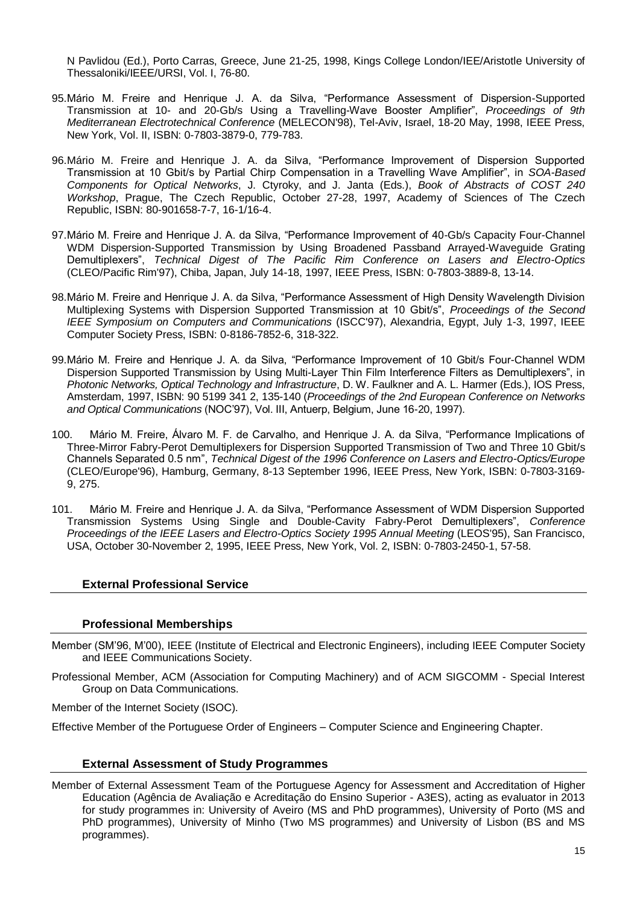N Pavlidou (Ed.), Porto Carras, Greece, June 21-25, 1998, Kings College London/IEE/Aristotle University of Thessaloniki/IEEE/URSI, Vol. I, 76-80.

- 95.Mário M. Freire and Henrique J. A. da Silva, "Performance Assessment of Dispersion-Supported Transmission at 10- and 20-Gb/s Using a Travelling-Wave Booster Amplifier", *Proceedings of 9th Mediterranean Electrotechnical Conference* (MELECON'98), Tel-Aviv, Israel, 18-20 May, 1998, IEEE Press, New York, Vol. II, ISBN: 0-7803-3879-0, 779-783.
- 96.Mário M. Freire and Henrique J. A. da Silva, "Performance Improvement of Dispersion Supported Transmission at 10 Gbit/s by Partial Chirp Compensation in a Travelling Wave Amplifier", in *SOA-Based Components for Optical Networks*, J. Ctyroky, and J. Janta (Eds.), *Book of Abstracts of COST 240 Workshop*, Prague, The Czech Republic, October 27-28, 1997, Academy of Sciences of The Czech Republic, ISBN: 80-901658-7-7, 16-1/16-4.
- 97.Mário M. Freire and Henrique J. A. da Silva, "Performance Improvement of 40-Gb/s Capacity Four-Channel WDM Dispersion-Supported Transmission by Using Broadened Passband Arrayed-Waveguide Grating Demultiplexers", *Technical Digest of The Pacific Rim Conference on Lasers and Electro-Optics* (CLEO/Pacific Rim'97), Chiba, Japan, July 14-18, 1997, IEEE Press, ISBN: 0-7803-3889-8, 13-14.
- 98.Mário M. Freire and Henrique J. A. da Silva, "Performance Assessment of High Density Wavelength Division Multiplexing Systems with Dispersion Supported Transmission at 10 Gbit/s", *Proceedings of the Second IEEE Symposium on Computers and Communications* (ISCC'97), Alexandria, Egypt, July 1-3, 1997, IEEE Computer Society Press, ISBN: 0-8186-7852-6, 318-322.
- 99.Mário M. Freire and Henrique J. A. da Silva, "Performance Improvement of 10 Gbit/s Four-Channel WDM Dispersion Supported Transmission by Using Multi-Layer Thin Film Interference Filters as Demultiplexers", in *Photonic Networks, Optical Technology and Infrastructure*, D. W. Faulkner and A. L. Harmer (Eds.), IOS Press, Amsterdam, 1997, ISBN: 90 5199 341 2, 135-140 (*Proceedings of the 2nd European Conference on Networks and Optical Communications* (NOC'97), Vol. III, Antuerp, Belgium, June 16-20, 1997).
- 100. Mário M. Freire, Álvaro M. F. de Carvalho, and Henrique J. A. da Silva, "Performance Implications of Three-Mirror Fabry-Perot Demultiplexers for Dispersion Supported Transmission of Two and Three 10 Gbit/s Channels Separated 0.5 nm", *Technical Digest of the 1996 Conference on Lasers and Electro-Optics/Europe* (CLEO/Europe'96), Hamburg, Germany, 8-13 September 1996, IEEE Press, New York, ISBN: 0-7803-3169- 9, 275.
- 101. Mário M. Freire and Henrique J. A. da Silva, "Performance Assessment of WDM Dispersion Supported Transmission Systems Using Single and Double-Cavity Fabry-Perot Demultiplexers", *Conference Proceedings of the IEEE Lasers and Electro-Optics Society 1995 Annual Meeting* (LEOS'95), San Francisco, USA, October 30-November 2, 1995, IEEE Press, New York, Vol. 2, ISBN: 0-7803-2450-1, 57-58.

#### **External Professional Service**

#### **Professional Memberships**

- Member (SM'96, M'00), IEEE (Institute of Electrical and Electronic Engineers), including IEEE Computer Society and IEEE Communications Society.
- Professional Member, ACM (Association for Computing Machinery) and of ACM SIGCOMM Special Interest Group on Data Communications.

Member of the Internet Society (ISOC).

Effective Member of the Portuguese Order of Engineers – Computer Science and Engineering Chapter.

#### **External Assessment of Study Programmes**

Member of External Assessment Team of the Portuguese Agency for Assessment and Accreditation of Higher Education (Agência de Avaliação e Acreditação do Ensino Superior - A3ES), acting as evaluator in 2013 for study programmes in: University of Aveiro (MS and PhD programmes), University of Porto (MS and PhD programmes), University of Minho (Two MS programmes) and University of Lisbon (BS and MS programmes).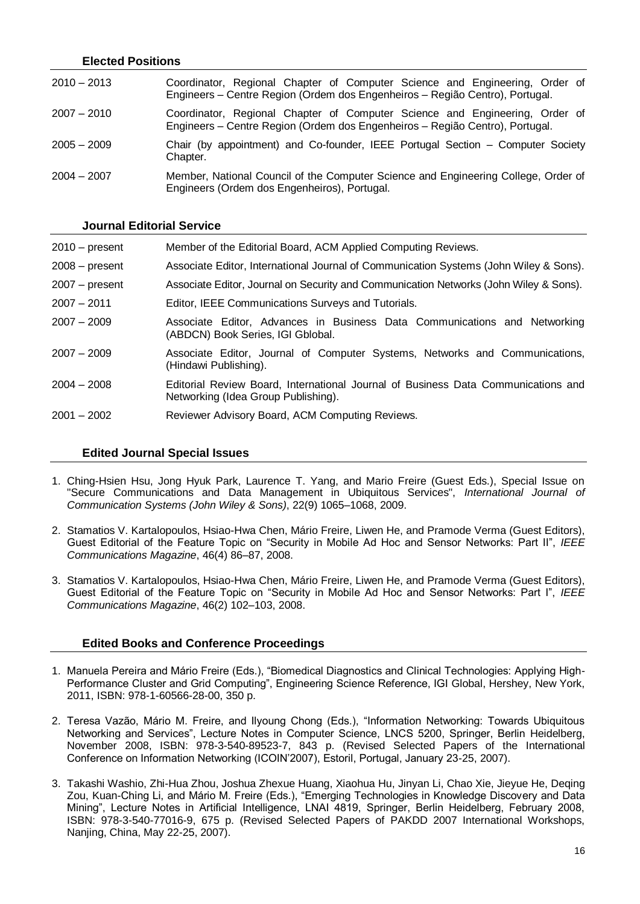#### **Elected Positions**

| $2010 - 2013$ | Coordinator, Regional Chapter of Computer Science and Engineering, Order of<br>Engineers – Centre Region (Ordem dos Engenheiros – Região Centro), Portugal. |
|---------------|-------------------------------------------------------------------------------------------------------------------------------------------------------------|
| $2007 - 2010$ | Coordinator, Regional Chapter of Computer Science and Engineering, Order of<br>Engineers – Centre Region (Ordem dos Engenheiros – Região Centro), Portugal. |
| $2005 - 2009$ | Chair (by appointment) and Co-founder, IEEE Portugal Section – Computer Society<br>Chapter.                                                                 |
| $2004 - 2007$ | Member, National Council of the Computer Science and Engineering College, Order of<br>Engineers (Ordem dos Engenheiros), Portugal.                          |

#### **Journal Editorial Service**

| $2010 - present$ | Member of the Editorial Board, ACM Applied Computing Reviews.                                                            |
|------------------|--------------------------------------------------------------------------------------------------------------------------|
| $2008 - present$ | Associate Editor, International Journal of Communication Systems (John Wiley & Sons).                                    |
| 2007 – present   | Associate Editor, Journal on Security and Communication Networks (John Wiley & Sons).                                    |
| 2007 - 2011      | Editor, IEEE Communications Surveys and Tutorials.                                                                       |
| $2007 - 2009$    | Associate Editor, Advances in Business Data Communications and Networking<br>(ABDCN) Book Series, IGI Gblobal.           |
| $2007 - 2009$    | Associate Editor, Journal of Computer Systems, Networks and Communications,<br>(Hindawi Publishing).                     |
| $2004 - 2008$    | Editorial Review Board, International Journal of Business Data Communications and<br>Networking (Idea Group Publishing). |
| $2001 - 2002$    | Reviewer Advisory Board, ACM Computing Reviews.                                                                          |

#### **Edited Journal Special Issues**

- 1. Ching-Hsien Hsu, Jong Hyuk Park, Laurence T. Yang, and Mario Freire (Guest Eds.), Special Issue on "Secure Communications and Data Management in Ubiquitous Services", *International Journal of Communication Systems (John Wiley & Sons)*, 22(9) 1065–1068, 2009.
- 2. Stamatios V. Kartalopoulos, Hsiao-Hwa Chen, Mário Freire, Liwen He, and Pramode Verma (Guest Editors), Guest Editorial of the Feature Topic on "Security in Mobile Ad Hoc and Sensor Networks: Part II", *IEEE Communications Magazine*, 46(4) 86–87, 2008.
- 3. Stamatios V. Kartalopoulos, Hsiao-Hwa Chen, Mário Freire, Liwen He, and Pramode Verma (Guest Editors), Guest Editorial of the Feature Topic on "Security in Mobile Ad Hoc and Sensor Networks: Part I", *IEEE Communications Magazine*, 46(2) 102–103, 2008.

#### **Edited Books and Conference Proceedings**

- 1. Manuela Pereira and Mário Freire (Eds.), "Biomedical Diagnostics and Clinical Technologies: Applying High-Performance Cluster and Grid Computing", Engineering Science Reference, IGI Global, Hershey, New York, 2011, ISBN: 978-1-60566-28-00, 350 p.
- 2. Teresa Vazão, Mário M. Freire, and Ilyoung Chong (Eds.), "Information Networking: Towards Ubiquitous Networking and Services", Lecture Notes in Computer Science, LNCS 5200, Springer, Berlin Heidelberg, November 2008, ISBN: 978-3-540-89523-7, 843 p. (Revised Selected Papers of the International Conference on Information Networking (ICOIN'2007), Estoril, Portugal, January 23-25, 2007).
- 3. Takashi Washio, Zhi-Hua Zhou, Joshua Zhexue Huang, Xiaohua Hu, Jinyan Li, Chao Xie, Jieyue He, Deqing Zou, Kuan-Ching Li, and Mário M. Freire (Eds.), "Emerging Technologies in Knowledge Discovery and Data Mining", Lecture Notes in Artificial Intelligence, LNAI 4819, Springer, Berlin Heidelberg, February 2008, ISBN: 978-3-540-77016-9, 675 p. (Revised Selected Papers of PAKDD 2007 International Workshops, Nanjing, China, May 22-25, 2007).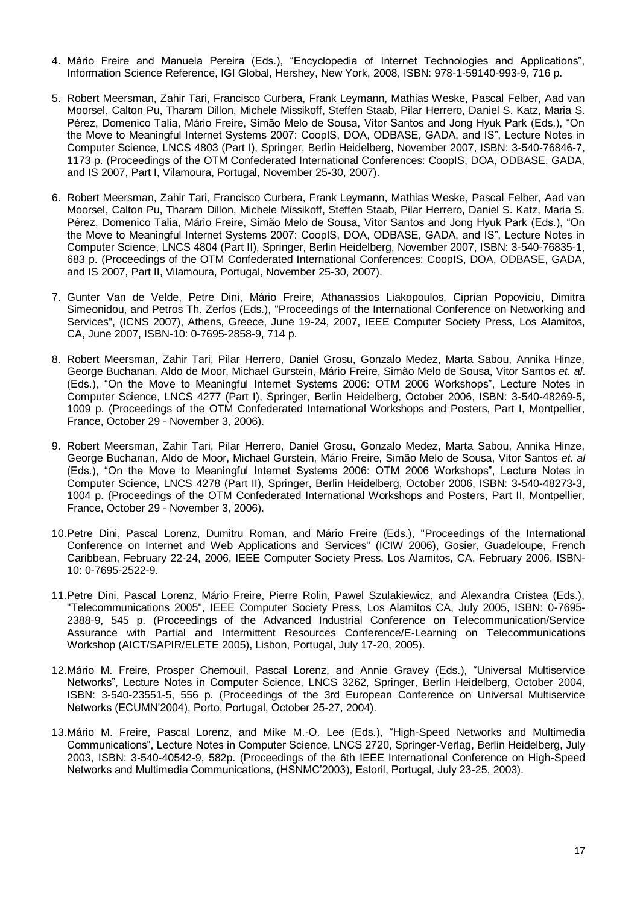- 4. Mário Freire and Manuela Pereira (Eds.), "Encyclopedia of Internet Technologies and Applications", Information Science Reference, IGI Global, Hershey, New York, 2008, ISBN: 978-1-59140-993-9, 716 p.
- 5. Robert Meersman, Zahir Tari, Francisco Curbera, Frank Leymann, Mathias Weske, Pascal Felber, Aad van Moorsel, Calton Pu, Tharam Dillon, Michele Missikoff, Steffen Staab, Pilar Herrero, Daniel S. Katz, Maria S. Pérez, Domenico Talia, Mário Freire, Simão Melo de Sousa, Vitor Santos and Jong Hyuk Park (Eds.), "On the Move to Meaningful Internet Systems 2007: CoopIS, DOA, ODBASE, GADA, and IS", Lecture Notes in Computer Science, LNCS 4803 (Part I), Springer, Berlin Heidelberg, November 2007, ISBN: 3-540-76846-7, 1173 p. (Proceedings of the OTM Confederated International Conferences: CoopIS, DOA, ODBASE, GADA, and IS 2007, Part I, Vilamoura, Portugal, November 25-30, 2007).
- 6. Robert Meersman, Zahir Tari, Francisco Curbera, Frank Leymann, Mathias Weske, Pascal Felber, Aad van Moorsel, Calton Pu, Tharam Dillon, Michele Missikoff, Steffen Staab, Pilar Herrero, Daniel S. Katz, Maria S. Pérez, Domenico Talia, Mário Freire, Simão Melo de Sousa, Vitor Santos and Jong Hyuk Park (Eds.), "On the Move to Meaningful Internet Systems 2007: CoopIS, DOA, ODBASE, GADA, and IS", Lecture Notes in Computer Science, LNCS 4804 (Part II), Springer, Berlin Heidelberg, November 2007, ISBN: 3-540-76835-1, 683 p. (Proceedings of the OTM Confederated International Conferences: CoopIS, DOA, ODBASE, GADA, and IS 2007, Part II, Vilamoura, Portugal, November 25-30, 2007).
- 7. Gunter Van de Velde, Petre Dini, Mário Freire, Athanassios Liakopoulos, Ciprian Popoviciu, Dimitra Simeonidou, and Petros Th. Zerfos (Eds.), ["Proceedings of the International Conference on Networking and](http://www.computer.org/portal/web/csdl/proceedings/i#4)  [Services"](http://www.computer.org/portal/web/csdl/proceedings/i#4), (ICNS 2007), Athens, Greece, June 19-24, 2007, IEEE Computer Society Press, Los Alamitos, CA, June 2007, ISBN-10: 0-7695-2858-9, 714 p.
- 8. Robert Meersman, Zahir Tari, Pilar Herrero, Daniel Grosu, Gonzalo Medez, Marta Sabou, Annika Hinze, George Buchanan, Aldo de Moor, Michael Gurstein, Mário Freire, Simão Melo de Sousa, Vitor Santos *et. al*. (Eds.), "On the Move to Meaningful Internet Systems 2006: OTM 2006 Workshops", Lecture Notes in Computer Science, LNCS 4277 (Part I), Springer, Berlin Heidelberg, October 2006, ISBN: 3-540-48269-5, 1009 p. (Proceedings of the OTM Confederated International Workshops and Posters, Part I, Montpellier, France, October 29 - November 3, 2006).
- 9. Robert Meersman, Zahir Tari, Pilar Herrero, Daniel Grosu, Gonzalo Medez, Marta Sabou, Annika Hinze, George Buchanan, Aldo de Moor, Michael Gurstein, Mário Freire, Simão Melo de Sousa, Vitor Santos *et. al* (Eds.), "On the Move to Meaningful Internet Systems 2006: OTM 2006 Workshops", Lecture Notes in Computer Science, LNCS 4278 (Part II), Springer, Berlin Heidelberg, October 2006, ISBN: 3-540-48273-3, 1004 p. (Proceedings of the OTM Confederated International Workshops and Posters, Part II, Montpellier, France, October 29 - November 3, 2006).
- 10.Petre Dini, Pascal Lorenz, Dumitru Roman, and Mário Freire (Eds.), ["Proceedings of the International](http://www2.computer.org/portal/web/csdl/abs/proceedings/aict-iciw/2006/2522/00/2522toc.htm)  [Conference on Internet and Web Applications and Services"](http://www2.computer.org/portal/web/csdl/abs/proceedings/aict-iciw/2006/2522/00/2522toc.htm) (ICIW 2006), Gosier, Guadeloupe, French Caribbean, February 22-24, 2006, IEEE Computer Society Press, Los Alamitos, CA, February 2006, ISBN-10: 0-7695-2522-9.
- 11.Petre Dini, Pascal Lorenz, Mário Freire, Pierre Rolin, Pawel Szulakiewicz, and Alexandra Cristea (Eds.), ["Telecommunications 2005"](http://www2.computer.org/portal/web/csdl/abs/proceedings/aict-sapir-elete/2005/2388/00/2388toc.htm), IEEE Computer Society Press, Los Alamitos CA, July 2005, ISBN: 0-7695- 2388-9, 545 p. (Proceedings of the Advanced Industrial Conference on Telecommunication/Service Assurance with Partial and Intermittent Resources Conference/E-Learning on Telecommunications Workshop (AICT/SAPIR/ELETE 2005), Lisbon, Portugal, July 17-20, 2005).
- 12.Mário M. Freire, Prosper Chemouil, Pascal Lorenz, and Annie Gravey (Eds.), "Universal Multiservice Networks", Lecture Notes in Computer Science, LNCS 3262, Springer, Berlin Heidelberg, October 2004, ISBN: 3-540-23551-5, 556 p. (Proceedings of the 3rd European Conference on Universal Multiservice Networks (ECUMN'2004), Porto, Portugal, October 25-27, 2004).
- 13.Mário M. Freire, Pascal Lorenz, and Mike M.-O. Lee (Eds.), "High-Speed Networks and Multimedia Communications", Lecture Notes in Computer Science, LNCS 2720, Springer-Verlag, Berlin Heidelberg, July 2003, ISBN: 3-540-40542-9, 582p. (Proceedings of the 6th IEEE International Conference on High-Speed Networks and Multimedia Communications, (HSNMC'2003), Estoril, Portugal, July 23-25, 2003).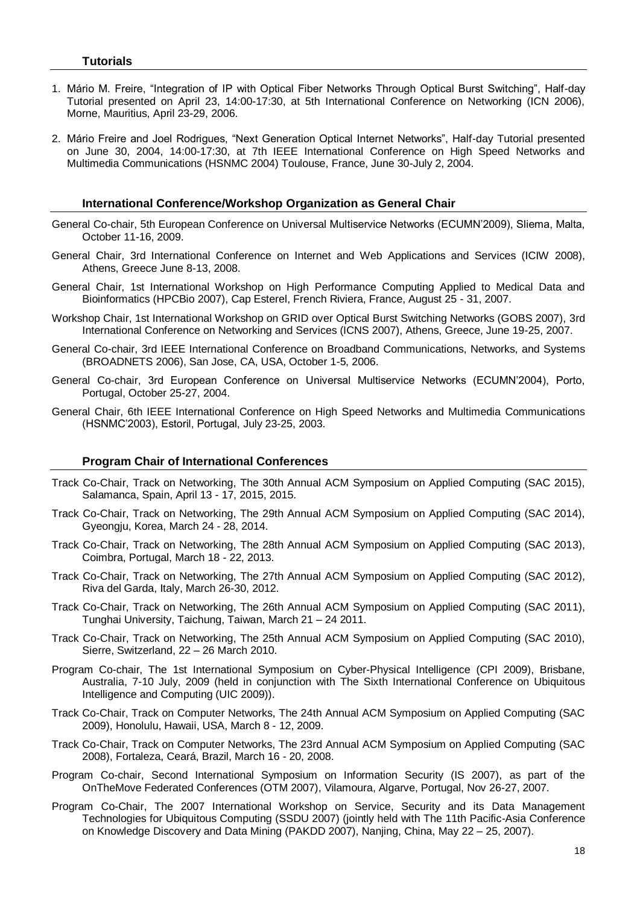- 1. Mário M. Freire, "Integration of IP with Optical Fiber Networks Through Optical Burst Switching", Half-day Tutorial presented on April 23, 14:00-17:30, at 5th International Conference on Networking (ICN 2006), Morne, Mauritius, April 23-29, 2006.
- 2. Mário Freire and Joel Rodrigues, "Next Generation Optical Internet Networks", Half-day Tutorial presented on June 30, 2004, 14:00-17:30, at 7th IEEE International Conference on High Speed Networks and Multimedia Communications (HSNMC 2004) Toulouse, France, June 30-July 2, 2004.

#### **International Conference/Workshop Organization as General Chair**

- General Co-chair, 5th European Conference on Universal Multiservice Networks (ECUMN'2009), Sliema, Malta, October 11-16, 2009.
- General Chair, 3rd International Conference on Internet and Web Applications and Services (ICIW 2008), Athens, Greece June 8-13, 2008.
- General Chair, 1st International Workshop on High Performance Computing Applied to Medical Data and Bioinformatics (HPCBio 2007), Cap Esterel, French Riviera, France, August 25 - 31, 2007.
- Workshop Chair, 1st International Workshop on GRID over Optical Burst Switching Networks (GOBS 2007), 3rd International Conference on Networking and Services (ICNS 2007), Athens, Greece, June 19-25, 2007.
- General Co-chair, 3rd IEEE International Conference on Broadband Communications, Networks, and Systems (BROADNETS 2006), San Jose, CA, USA, October 1-5, 2006.
- General Co-chair, 3rd European Conference on Universal Multiservice Networks (ECUMN'2004), Porto, Portugal, October 25-27, 2004.
- General Chair, 6th IEEE International Conference on High Speed Networks and Multimedia Communications (HSNMC'2003), Estoril, Portugal, July 23-25, 2003.

#### **Program Chair of International Conferences**

- Track Co-Chair, Track on Networking, The 30th Annual ACM Symposium on Applied Computing (SAC 2015), Salamanca, Spain, April 13 - 17, 2015, 2015.
- Track Co-Chair, Track on Networking, The 29th Annual ACM Symposium on Applied Computing (SAC 2014), Gyeongju, Korea, March 24 - 28, 2014.
- Track Co-Chair, Track on Networking, The 28th Annual ACM Symposium on Applied Computing (SAC 2013), Coimbra, Portugal, March 18 - 22, 2013.
- Track Co-Chair, Track on Networking, The 27th Annual ACM Symposium on Applied Computing (SAC 2012), Riva del Garda, Italy, March 26-30, 2012.
- Track Co-Chair, Track on Networking, The 26th Annual ACM Symposium on Applied Computing (SAC 2011), Tunghai University, Taichung, Taiwan, March 21 – 24 2011.
- Track Co-Chair, Track on Networking, The 25th Annual ACM Symposium on Applied Computing (SAC 2010), Sierre, Switzerland, 22 – 26 March 2010.
- Program Co-chair, [The 1st International Symposium on Cyber-Physical Intelligence](http://grid.chu.edu.tw/cpi-09) (CPI 2009), Brisbane, Australia, 7-10 July, 2009 (held in conjunction with The Sixth International Conference on Ubiquitous Intelligence and Computing (UIC 2009)).
- Track Co-Chair, Track on Computer Networks, The 24th Annual ACM Symposium on Applied Computing (SAC 2009), [Honolulu,](http://www.visit-oahu.com/) Hawaii, USA, March 8 - 12, 2009.
- Track Co-Chair, Track on Computer Networks, The 23rd Annual ACM Symposium on Applied Computing (SAC 2008), Fortaleza, Ceará, Brazil, March 16 - 20, 2008.
- Program Co-chair, Second International Symposium on Information Security (IS 2007), as part of the OnTheMove Federated Conferences (OTM 2007), Vilamoura, Algarve, Portugal, Nov 26-27, 2007.
- Program Co-Chair, The 2007 International Workshop on Service, Security and its Data Management Technologies for Ubiquitous Computing (SSDU 2007) (jointly held with The 11th Pacific-Asia Conference on Knowledge Discovery and Data Mining (PAKDD 2007), Nanjing, China, May 22 – 25, 2007).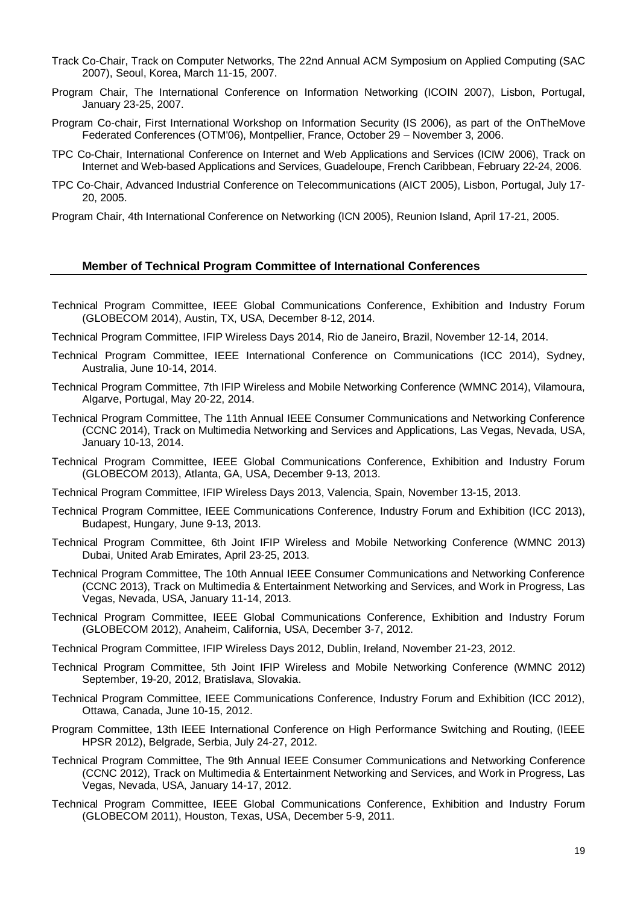- Track Co-Chair, Track on Computer Networks, The 22nd Annual ACM Symposium on Applied Computing (SAC 2007), Seoul, Korea, March 11-15, 2007.
- Program Chair, The International Conference on Information Networking (ICOIN 2007), Lisbon, Portugal, January 23-25, 2007.
- Program Co-chair, First International Workshop on Information Security (IS 2006), as part of the OnTheMove Federated Conferences (OTM'06), Montpellier, France, October 29 – November 3, 2006.
- TPC Co-Chair, International Conference on Internet and Web Applications and Services (ICIW 2006), Track on Internet and Web-based Applications and Services, Guadeloupe, French Caribbean, February 22-24, 2006.
- TPC Co-Chair, Advanced Industrial Conference on Telecommunications (AICT 2005), Lisbon, Portugal, July 17- 20, 2005.
- Program Chair, 4th International Conference on Networking (ICN 2005), Reunion Island, April 17-21, 2005.

#### **Member of Technical Program Committee of International Conferences**

- Technical Program Committee, IEEE Global Communications Conference, Exhibition and Industry Forum (GLOBECOM 2014), Austin, TX, USA, December 8-12, 2014.
- Technical Program Committee, IFIP Wireless Days 2014, Rio de Janeiro, Brazil, November 12-14, 2014.
- Technical Program Committee, IEEE International Conference on Communications (ICC 2014), Sydney, Australia, June 10-14, 2014.
- Technical Program Committee, 7th IFIP Wireless and Mobile Networking Conference (WMNC 2014), Vilamoura, Algarve, Portugal, May 20-22, 2014.
- Technical Program Committee, The 11th Annual IEEE Consumer Communications and Networking Conference (CCNC 2014), Track on Multimedia Networking and Services and Applications, Las Vegas, Nevada, USA, January 10-13, 2014.
- Technical Program Committee, IEEE Global Communications Conference, Exhibition and Industry Forum (GLOBECOM 2013), Atlanta, GA, USA, December 9-13, 2013.
- Technical Program Committee, IFIP Wireless Days 2013, Valencia, Spain, November 13-15, 2013.
- Technical Program Committee, IEEE Communications Conference, Industry Forum and Exhibition (ICC 2013), Budapest, Hungary, June 9-13, 2013.
- Technical Program Committee, 6th Joint IFIP Wireless and Mobile Networking Conference (WMNC 2013) Dubai, United Arab Emirates, April 23-25, 2013.
- Technical Program Committee, The 10th Annual IEEE Consumer Communications and Networking Conference (CCNC 2013), Track on Multimedia & Entertainment Networking and Services, and Work in Progress, Las Vegas, Nevada, USA, January 11-14, 2013.
- Technical Program Committee, IEEE Global Communications Conference, Exhibition and Industry Forum (GLOBECOM 2012), Anaheim, California, USA, December 3-7, 2012.
- Technical Program Committee, IFIP Wireless Days 2012, Dublin, Ireland, November 21-23, 2012.
- Technical Program Committee, 5th Joint IFIP Wireless and Mobile Networking Conference (WMNC 2012) September, 19-20, 2012, Bratislava, Slovakia.
- Technical Program Committee, IEEE Communications Conference, Industry Forum and Exhibition (ICC 2012), Ottawa, Canada, June 10-15, 2012.
- Program Committee, 13th IEEE International Conference on High Performance Switching and Routing, (IEEE HPSR 2012), Belgrade, Serbia, July 24-27, 2012.
- Technical Program Committee, The 9th Annual IEEE Consumer Communications and Networking Conference (CCNC 2012), Track on Multimedia & Entertainment Networking and Services, and Work in Progress, Las Vegas, Nevada, USA, January 14-17, 2012.
- Technical Program Committee, IEEE Global Communications Conference, Exhibition and Industry Forum (GLOBECOM 2011), Houston, Texas, USA, December 5-9, 2011.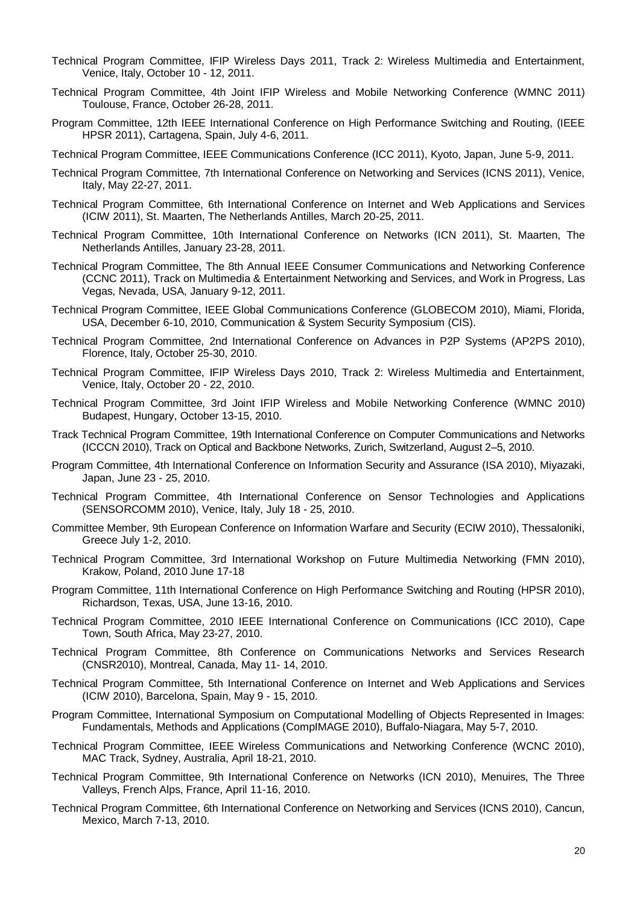- Technical Program Committee, IFIP Wireless Days 2011, Track 2: Wireless Multimedia and Entertainment, Venice, Italy, October 10 - 12, 2011.
- Technical Program Committee, 4th Joint IFIP Wireless and Mobile Networking Conference (WMNC 2011) Toulouse, France, October 26-28, 2011.
- Program Committee, 12th IEEE International Conference on High Performance Switching and Routing, (IEEE HPSR 2011), Cartagena, Spain, July 4-6, 2011.
- Technical Program Committee, IEEE Communications Conference (ICC 2011), Kyoto, Japan, June 5-9, 2011.
- Technical Program Committee, 7th International Conference on Networking and Services (ICNS 2011), Venice, Italy, May 22-27, 2011.
- Technical Program Committee, 6th International Conference on Internet and Web Applications and Services (ICIW 2011), St. Maarten, The Netherlands Antilles, March 20-25, 2011.
- Technical Program Committee, 10th International Conference on Networks (ICN 2011), St. Maarten, The Netherlands Antilles, January 23-28, 2011.
- Technical Program Committee, The 8th Annual IEEE Consumer Communications and Networking Conference (CCNC 2011), Track on Multimedia & Entertainment Networking and Services, and Work in Progress, Las Vegas, Nevada, USA, January 9-12, 2011.
- Technical Program Committee, IEEE Global Communications Conference (GLOBECOM 2010), Miami, Florida, USA, December 6-10, 2010, Communication & System Security Symposium (CIS).
- Technical Program Committee, 2nd International Conference on Advances in P2P Systems (AP2PS 2010), Florence, Italy, October 25-30, 2010.
- Technical Program Committee, IFIP Wireless Days 2010, Track 2: Wireless Multimedia and Entertainment, Venice, Italy, October 20 - 22, 2010.
- Technical Program Committee, 3rd Joint IFIP Wireless and Mobile Networking Conference (WMNC 2010) Budapest, Hungary, October 13-15, 2010.
- Track Technical Program Committee, 19th International Conference on Computer Communications and Networks (ICCCN 2010), Track on Optical and Backbone Networks, Zurich, Switzerland, August 2–5, 2010.
- Program Committee, 4th International Conference on Information Security and Assurance (ISA 2010), Miyazaki, Japan, June 23 - 25, 2010.
- Technical Program Committee, 4th International Conference on Sensor Technologies and Applications (SENSORCOMM 2010), Venice, Italy, July 18 - 25, 2010.
- Committee Member, 9th European Conference on Information Warfare and Security (ECIW 2010), Thessaloniki, Greece July 1-2, 2010.
- Technical Program Committee, 3rd International Workshop on Future Multimedia Networking (FMN 2010), Krakow, Poland, 2010 June 17-18
- Program Committee, 11th International Conference on High Performance Switching and Routing (HPSR 2010), Richardson, Texas, USA, June 13-16, 2010.
- Technical Program Committee, 2010 IEEE International Conference on Communications (ICC 2010), Cape Town, South Africa, May 23-27, 2010.
- Technical Program Committee, 8th Conference on Communications Networks and Services Research (CNSR2010), Montreal, Canada, May 11- 14, 2010.
- Technical Program Committee, 5th International Conference on Internet and Web Applications and Services (ICIW 2010), Barcelona, Spain, May 9 - 15, 2010.
- Program Committee, International Symposium on Computational Modelling of Objects Represented in Images: Fundamentals, Methods and Applications (CompIMAGE 2010), Buffalo-Niagara, May 5-7, 2010.
- Technical Program Committee, IEEE Wireless Communications and Networking Conference (WCNC 2010), MAC Track, Sydney, Australia, April 18-21, 2010.
- Technical Program Committee, 9th International Conference on Networks (ICN 2010), Menuires, The Three Valleys, French Alps, France, April 11-16, 2010.
- Technical Program Committee, 6th International Conference on Networking and Services (ICNS 2010), Cancun, Mexico, March 7-13, 2010.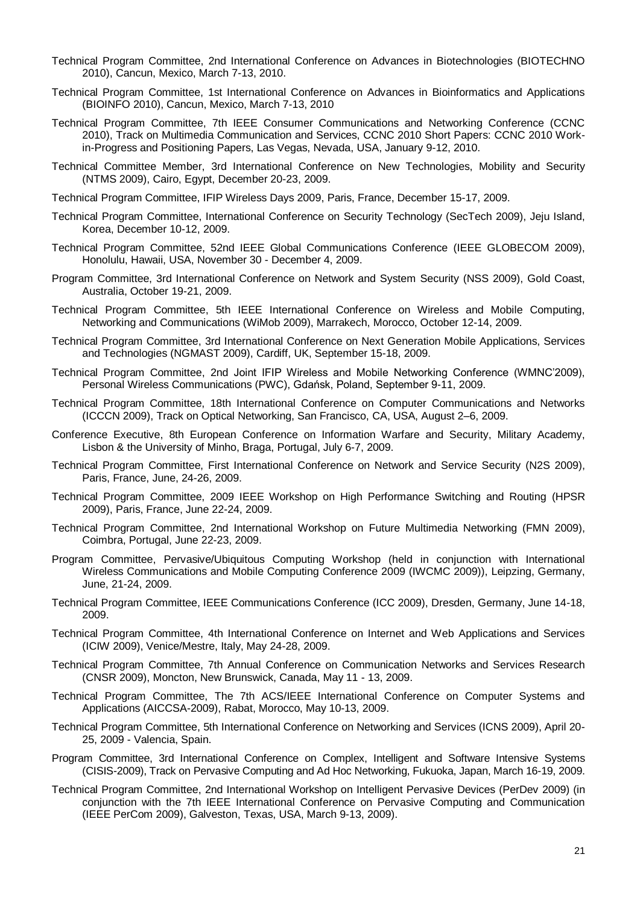- Technical Program Committee, 2nd International Conference on Advances in Biotechnologies (BIOTECHNO 2010), Cancun, Mexico, March 7-13, 2010.
- Technical Program Committee, 1st International Conference on Advances in Bioinformatics and Applications (BIOINFO 2010), Cancun, Mexico, March 7-13, 2010
- Technical Program Committee, 7th IEEE Consumer Communications and Networking Conference (CCNC 2010), Track on Multimedia Communication and Services, CCNC 2010 Short Papers: CCNC 2010 Workin-Progress and Positioning Papers, Las Vegas, Nevada, USA, January 9-12, 2010.
- Technical Committee Member, [3rd International Conference on New Technologies, Mobility and Security](http://www.ntms-conf.org/index.htm) (NTMS 2009), Cairo, Egypt, December 20-23, 2009.
- Technical Program Committee, [IFIP Wireless Days 2009,](http://www.wireless-days.org/) Paris, France, December 15-17, 2009.
- Technical Program Committee, [International Conference on Security Technology](http://www.sersc.org/SECTECH2009/index.php) (SecTech 2009), Jeju Island, Korea, December 10-12, 2009.
- Technical Program Committee, [52nd IEEE Global Communications Conference](http://www.ieee-globecom.org/2009/) (IEEE GLOBECOM 2009), Honolulu, Hawaii, USA, November 30 - December 4, 2009.
- Program Committee, 3rd International Conference on Network and System Security (NSS 2009), Gold Coast, Australia, October 19-21, 2009.
- Technical Program Committee, [5th IEEE International Conference on Wireless and Mobile Computing,](http://conferences.computer.org/WiMob2009/index.html)  [Networking and Communications](http://conferences.computer.org/WiMob2009/index.html) (WiMob 2009), Marrakech, Morocco, October 12-14, 2009.
- Technical Program Committee, [3rd International Conference on Next Generation Mobile Applications, Services](http://www.comp.glam.ac.uk/NGMAST09/)  [and Technologies](http://www.comp.glam.ac.uk/NGMAST09/) (NGMAST 2009), Cardiff, UK, September 15-18, 2009.
- Technical Program Committee, 2nd Joint IFIP Wireless and Mobile Networking Conference (WMNC'2009), Personal Wireless Communications (PWC), Gdańsk, Poland, September 9-11, 2009.
- Technical Program Committee, [18th International Conference on Computer Communications and Networks](http://icccn.org/icccn09/index.html) (ICCCN 2009), Track on Optical Networking, San Francisco, CA, USA, August 2–6, 2009.
- Conference Executive, [8th European Conference on Information Warfare and Security,](http://www.academic-conferences.org/eciw/eciw2009/eciw09-home.htm) Military Academy, Lisbon & the University of Minho, Braga, Portugal, July 6-7, 2009.
- Technical Program Committee, [First International Conference on Network and Service Security](http://www.n2s-conf.org/) (N2S 2009), Paris, France, June, 24-26, 2009.
- Technical Program Committee, [2009 IEEE Workshop on High Performance Switching and Routing](http://hpsr2009.enst.fr/home.htm) (HPSR 2009), Paris, France, June 22-24, 2009.
- Technical Program Committee, [2nd International Workshop on Future Multimedia Networking](http://fmn2009.dei.uc.pt/) (FMN 2009), Coimbra, Portugal, June 22-23, 2009.
- Program Committee, [Pervasive/Ubiquitous Computing Workshop](http://iwcmc.com/workshops.htm) (held in conjunction with International Wireless Communications and Mobile Computing Conference 2009 (IWCMC 2009)), Leipzing, Germany, June, 21-24, 2009.
- Technical Program Committee, IEEE Communications Conference (ICC 2009), Dresden, Germany, June 14-18, 2009.
- Technical Program Committee, [4th International Conference on Internet and Web Applications and Services](http://www.iaria.org/conferences2009/ComICIW09.html) (ICIW 2009), Venice/Mestre, Italy, May 24-28, 2009.
- Technical Program Committee, [7th Annual Conference on Communication Networks and Services Research](http://www.cnsr.info/CNSR2009) (CNSR 2009), Moncton, New Brunswick, Canada, May 11 - 13, 2009.
- Technical Program Committee, [The 7th ACS/IEEE International Conference on Computer Systems and](http://congreso.us.es/aiccsa2009/)  [Applications](http://congreso.us.es/aiccsa2009/) (AICCSA-2009), Rabat, Morocco, May 10-13, 2009.
- Technical Program Committee, 5th International Conference on Networking and Services (ICNS 2009), April 20- 25, 2009 - Valencia, Spain.
- Program Committee, 3rd International Conference on Complex, Intelligent and Software Intensive Systems (CISIS-2009), Track on Pervasive Computing and Ad Hoc Networking, Fukuoka, Japan, March 16-19, 2009.
- Technical Program Committee, [2nd International Workshop on Intelligent Pervasive Devices](http://perdev09.ict.ac.cn/) (PerDev 2009) (in conjunction with the 7th IEEE International Conference on Pervasive Computing and Communication (IEEE PerCom 2009), Galveston, Texas, USA, March 9-13, 2009).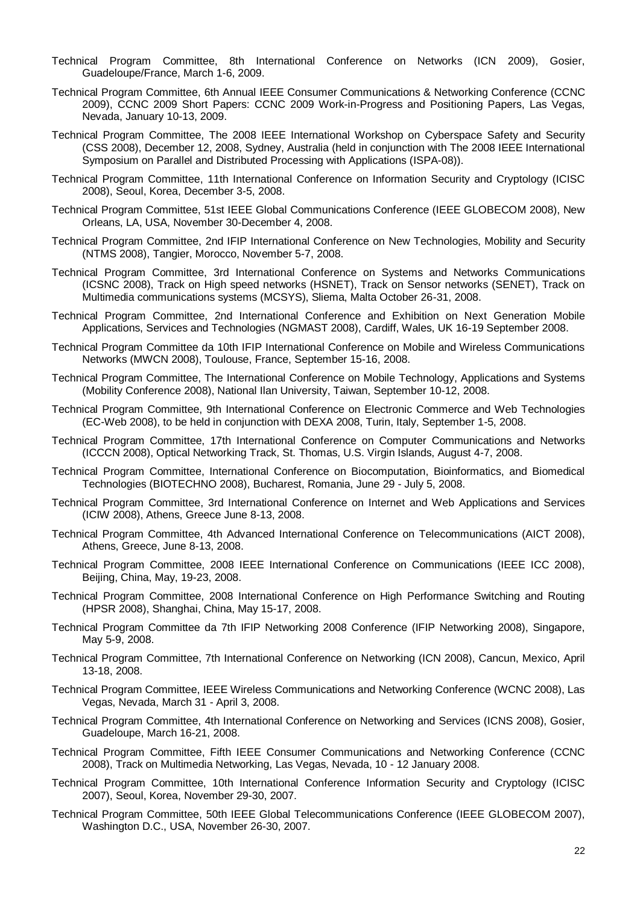- Technical Program Committee, 8th International Conference on Networks (ICN 2009), Gosier, Guadeloupe/France, March 1-6, 2009.
- Technical Program Committee, [6th Annual IEEE Consumer Communications & Networking Conference](http://www.ieee-ccnc.org/2009/) (CCNC 2009), CCNC 2009 Short Papers: CCNC 2009 Work-in-Progress and Positioning Papers, Las Vegas, Nevada, January 10-13, 2009.
- Technical Program Committee, The 2008 IEEE International Workshop on Cyberspace Safety and Security (CSS 2008), December 12, 2008, Sydney, Australia (held in conjunction with The 2008 IEEE International Symposium on Parallel and Distributed Processing with Applications [\(ISPA-08\)](http://www.cs.usyd.edu.au/~ispa2008/)).
- Technical Program Committee, 11th International Conference on Information Security and Cryptology (ICISC 2008), Seoul, Korea, December 3-5, 2008.
- Technical Program Committee, 51st IEEE Global Communications Conference (IEEE GLOBECOM 2008), New Orleans, LA, USA, November 30-December 4, 2008.
- Technical Program Committee, 2nd IFIP International Conference on New Technologies, Mobility and Security (NTMS 2008), Tangier, Morocco, November 5-7, 2008.
- Technical Program Committee, 3rd International Conference on Systems and Networks Communications (ICSNC 2008), Track on High speed networks (HSNET), Track on Sensor networks (SENET), Track on Multimedia communications systems (MCSYS), Sliema, Malta October 26-31, 2008.
- Technical Program Committee, 2nd International Conference and Exhibition on Next Generation Mobile Applications, Services and Technologies (NGMAST 2008), Cardiff, Wales, UK 16-19 September 2008.
- Technical Program Committee da 10th IFIP International Conference on Mobile and Wireless Communications Networks (MWCN 2008), Toulouse, France, September 15-16, 2008.
- Technical Program Committee, The International Conference on Mobile Technology, Applications and Systems (Mobility Conference 2008), National Ilan University, Taiwan, September 10-12, 2008.
- Technical Program Committee, 9th International Conference on Electronic Commerce and Web Technologies (EC-Web 2008), to be held in conjunction with DEXA 2008, Turin, Italy, September 1-5, 2008.
- Technical Program Committee, 17th International Conference on Computer Communications and Networks (ICCCN 2008), Optical Networking Track, St. Thomas, U.S. Virgin Islands, August 4-7, 2008.
- Technical Program Committee, International Conference on Biocomputation, Bioinformatics, and Biomedical Technologies (BIOTECHNO 2008), Bucharest, Romania, June 29 - July 5, 2008.
- Technical Program Committee, 3rd International Conference on Internet and Web Applications and Services (ICIW 2008), Athens, Greece June 8-13, 2008.
- Technical Program Committee, 4th Advanced International Conference on Telecommunications (AICT 2008), Athens, Greece, June 8-13, 2008.
- Technical Program Committee, 2008 IEEE International Conference on Communications (IEEE ICC 2008), Beijing, China, May, 19-23, 2008.
- Technical Program Committee, 2008 International Conference on High Performance Switching and Routing (HPSR 2008), Shanghai, China, May 15-17, 2008.
- Technical Program Committee da 7th IFIP Networking 2008 Conference (IFIP Networking 2008), Singapore, May 5-9, 2008.
- Technical Program Committee, 7th International Conference on Networking (ICN 2008), Cancun, Mexico, April 13-18, 2008.
- Technical Program Committee, IEEE Wireless Communications and Networking Conference (WCNC 2008), Las Vegas, Nevada, March 31 - April 3, 2008.
- Technical Program Committee, 4th International Conference on Networking and Services (ICNS 2008), Gosier, Guadeloupe, March 16-21, 2008.
- Technical Program Committee, Fifth IEEE Consumer Communications and Networking Conference (CCNC 2008), Track on Multimedia Networking, Las Vegas, Nevada, 10 - 12 January 2008.
- Technical Program Committee, 10th International Conference Information Security and Cryptology (ICISC 2007), Seoul, Korea, November 29-30, 2007.
- Technical Program Committee, 50th IEEE Global Telecommunications Conference (IEEE GLOBECOM 2007), Washington D.C., USA, November 26-30, 2007.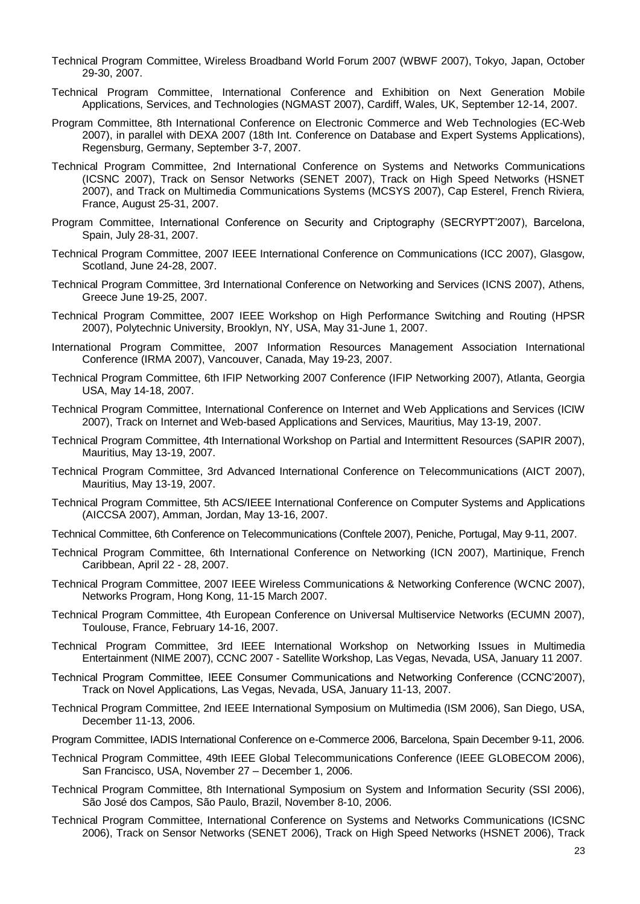- Technical Program Committee, Wireless Broadband World Forum 2007 (WBWF 2007), Tokyo, Japan, October 29-30, 2007.
- Technical Program Committee, International Conference and Exhibition on Next Generation Mobile Applications, Services, and Technologies (NGMAST 2007), Cardiff, Wales, UK, September 12-14, 2007.
- Program Committee, 8th International Conference on Electronic Commerce and Web Technologies (EC-Web 2007), in parallel with DEXA 2007 (18th Int. Conference on Database and Expert Systems Applications), Regensburg, Germany, September 3-7, 2007.
- Technical Program Committee, 2nd International Conference on Systems and Networks Communications (ICSNC 2007), Track on Sensor Networks (SENET 2007), Track on High Speed Networks (HSNET 2007), and Track on Multimedia Communications Systems (MCSYS 2007), Cap Esterel, French Riviera, France, August 25-31, 2007.
- Program Committee, International Conference on Security and Criptography (SECRYPT'2007), Barcelona, Spain, July 28-31, 2007.
- Technical Program Committee, 2007 IEEE International Conference on Communications (ICC 2007), Glasgow, Scotland, June 24-28, 2007.
- Technical Program Committee, 3rd International Conference on Networking and Services (ICNS 2007), Athens, Greece June 19-25, 2007.
- Technical Program Committee, 2007 IEEE Workshop on High Performance Switching and Routing (HPSR 2007), Polytechnic University, Brooklyn, NY, USA, May 31-June 1, 2007.
- International Program Committee, 2007 Information Resources Management Association International Conference (IRMA 2007), Vancouver, Canada, May 19-23, 2007.
- Technical Program Committee, 6th IFIP Networking 2007 Conference (IFIP Networking 2007), Atlanta, Georgia USA, May 14-18, 2007.
- Technical Program Committee, International Conference on Internet and Web Applications and Services (ICIW 2007), Track on Internet and Web-based Applications and Services, Mauritius, May 13-19, 2007.
- Technical Program Committee, 4th International Workshop on Partial and Intermittent Resources (SAPIR 2007), Mauritius, May 13-19, 2007.
- Technical Program Committee, 3rd Advanced International Conference on Telecommunications (AICT 2007), Mauritius, May 13-19, 2007.
- Technical Program Committee, 5th ACS/IEEE International Conference on Computer Systems and Applications (AICCSA 2007), Amman, Jordan, May 13-16, 2007.
- Technical Committee, 6th Conference on Telecommunications (Conftele 2007), Peniche, Portugal, May 9-11, 2007.
- Technical Program Committee, 6th International Conference on Networking (ICN 2007), Martinique, French Caribbean, April 22 - 28, 2007.
- Technical Program Committee, 2007 IEEE Wireless Communications & Networking Conference (WCNC 2007), Networks Program, Hong Kong, 11-15 March 2007.
- Technical Program Committee, 4th European Conference on Universal Multiservice Networks (ECUMN 2007), Toulouse, France, February 14-16, 2007.
- Technical Program Committee, 3rd IEEE International Workshop on Networking Issues in Multimedia Entertainment (NIME 2007), CCNC 2007 - Satellite Workshop, Las Vegas, Nevada, USA, January 11 2007.
- Technical Program Committee, IEEE Consumer Communications and Networking Conference (CCNC'2007), Track on Novel Applications, Las Vegas, Nevada, USA, January 11-13, 2007.
- Technical Program Committee, 2nd IEEE International Symposium on Multimedia (ISM 2006), San Diego, USA, December 11-13, 2006.
- Program Committee[, IADIS International Conference on e-Commerce 2006,](http://www.iadis.org/ec2006/) Barcelona, Spain December 9-11, 2006.
- Technical Program Committee, 49th IEEE Global Telecommunications Conference (IEEE GLOBECOM 2006), San Francisco, USA, November 27 – December 1, 2006.
- Technical Program Committee, 8th International Symposium on System and Information Security (SSI 2006), São José dos Campos, São Paulo, Brazil, November 8-10, 2006.
- Technical Program Committee, International Conference on Systems and Networks Communications (ICSNC 2006), Track on Sensor Networks (SENET 2006), Track on High Speed Networks (HSNET 2006), Track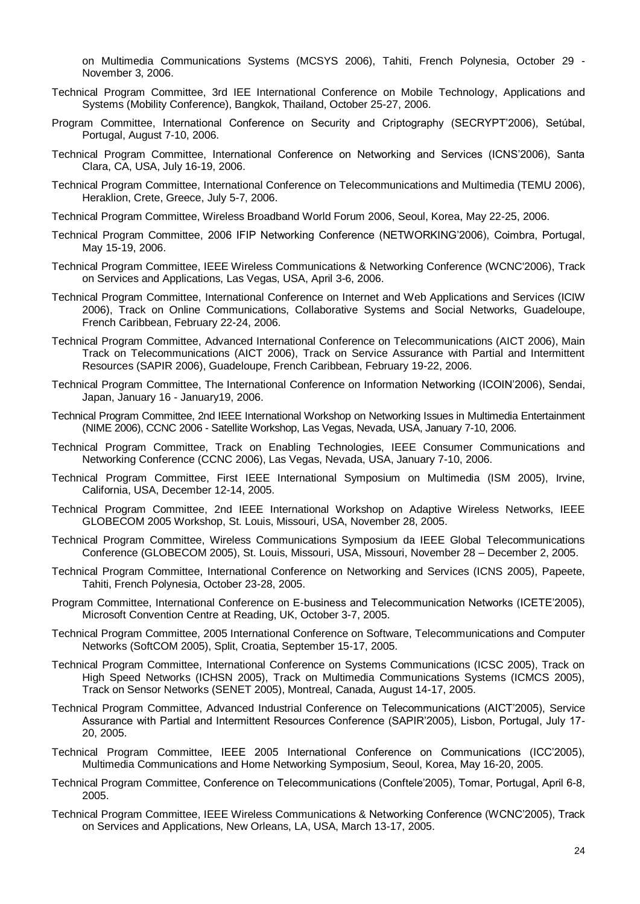on Multimedia Communications Systems (MCSYS 2006), Tahiti, French Polynesia, October 29 - November 3, 2006.

- Technical Program Committee, 3rd IEE International Conference on Mobile Technology, Applications and Systems (Mobility Conference), Bangkok, Thailand, October 25-27, 2006.
- Program Committee, International Conference on Security and Criptography (SECRYPT'2006), Setúbal, Portugal, August 7-10, 2006.
- Technical Program Committee, International Conference on Networking and Services (ICNS'2006), Santa Clara, CA, USA, July 16-19, 2006.
- Technical Program Committee, International Conference on Telecommunications and Multimedia (TEMU 2006), Heraklion, Crete, Greece, July 5-7, 2006.
- Technical Program Committee, Wireless Broadband World Forum 2006, Seoul, Korea, May 22-25, 2006.
- Technical Program Committee, 2006 IFIP Networking Conference (NETWORKING'2006), Coimbra, Portugal, May 15-19, 2006.
- Technical Program Committee, IEEE Wireless Communications & Networking Conference (WCNC'2006), Track on Services and Applications, Las Vegas, USA, April 3-6, 2006.
- Technical Program Committee, International Conference on Internet and Web Applications and Services (ICIW 2006), Track on Online Communications, Collaborative Systems and Social Networks, Guadeloupe, French Caribbean, February 22-24, 2006.
- Technical Program Committee, Advanced International Conference on Telecommunications (AICT 2006), Main Track on Telecommunications (AICT 2006), Track on Service Assurance with Partial and Intermittent Resources (SAPIR 2006), Guadeloupe, French Caribbean, February 19-22, 2006.
- Technical Program Committee, The International Conference on Information Networking (ICOIN'2006), Sendai, Japan, January 16 - January19, 2006.
- Technical Program Committee, 2nd IEEE International Workshop on Networking Issues in Multimedia Entertainment (NIME 2006), CCNC 2006 - Satellite Workshop, Las Vegas, Nevada, USA, January 7-10, 2006.
- Technical Program Committee, Track on Enabling Technologies, IEEE Consumer Communications and Networking Conference (CCNC 2006), Las Vegas, Nevada, USA, January 7-10, 2006.
- Technical Program Committee, First IEEE International Symposium on Multimedia (ISM 2005), Irvine, California, USA, December 12-14, 2005.
- Technical Program Committee, 2nd IEEE International Workshop on Adaptive Wireless Networks, IEEE GLOBECOM 2005 Workshop, St. Louis, Missouri, USA, November 28, 2005.
- Technical Program Committee, Wireless Communications Symposium da IEEE Global Telecommunications Conference (GLOBECOM 2005), St. Louis, Missouri, USA, Missouri, November 28 – December 2, 2005.
- Technical Program Committee, International Conference on Networking and Services (ICNS 2005), Papeete, Tahiti, French Polynesia, October 23-28, 2005.
- Program Committee, International Conference on E-business and Telecommunication Networks (ICETE'2005), Microsoft Convention Centre at Reading, UK, October 3-7, 2005.
- Technical Program Committee, 2005 International Conference on Software, Telecommunications and Computer Networks (SoftCOM 2005), Split, Croatia, September 15-17, 2005.
- Technical Program Committee, International Conference on Systems Communications (ICSC 2005), Track on High Speed Networks (ICHSN 2005), Track on Multimedia Communications Systems (ICMCS 2005), Track on Sensor Networks (SENET 2005), Montreal, Canada, August 14-17, 2005.
- Technical Program Committee, Advanced Industrial Conference on Telecommunications (AICT'2005), Service Assurance with Partial and Intermittent Resources Conference (SAPIR'2005), Lisbon, Portugal, July 17- 20, 2005.
- Technical Program Committee, IEEE 2005 International Conference on Communications (ICC'2005), Multimedia Communications and Home Networking Symposium, Seoul, Korea, May 16-20, 2005.
- Technical Program Committee, Conference on Telecommunications (Conftele'2005), Tomar, Portugal, April 6-8, 2005.
- Technical Program Committee, IEEE Wireless Communications & Networking Conference (WCNC'2005), Track on Services and Applications, New Orleans, LA, USA, March 13-17, 2005.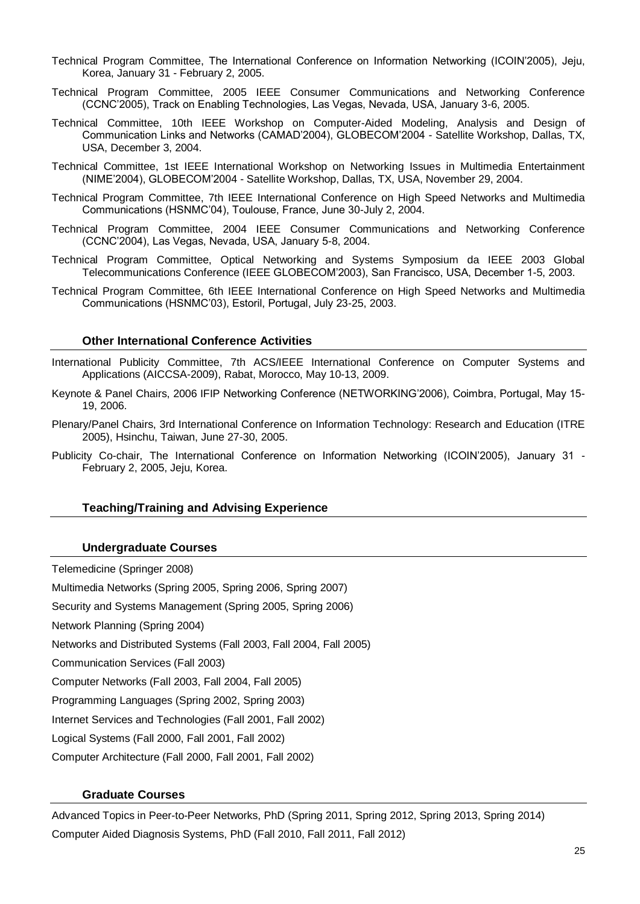- Technical Program Committee, The International Conference on Information Networking (ICOIN'2005), Jeju, Korea, January 31 - February 2, 2005.
- Technical Program Committee, 2005 IEEE Consumer Communications and Networking Conference (CCNC'2005), Track on Enabling Technologies, Las Vegas, Nevada, USA, January 3-6, 2005.
- Technical Committee, 10th IEEE Workshop on Computer-Aided Modeling, Analysis and Design of Communication Links and Networks (CAMAD'2004), GLOBECOM'2004 - Satellite Workshop, Dallas, TX, USA, December 3, 2004.
- Technical Committee, 1st IEEE International Workshop on Networking Issues in Multimedia Entertainment (NIME'2004), GLOBECOM'2004 - Satellite Workshop, Dallas, TX, USA, November 29, 2004.
- Technical Program Committee, 7th IEEE International Conference on High Speed Networks and Multimedia Communications (HSNMC'04), Toulouse, France, June 30-July 2, 2004.
- Technical Program Committee, 2004 IEEE Consumer Communications and Networking Conference (CCNC'2004), Las Vegas, Nevada, USA, January 5-8, 2004.
- Technical Program Committee, Optical Networking and Systems Symposium da IEEE 2003 Global Telecommunications Conference (IEEE GLOBECOM'2003), San Francisco, USA, December 1-5, 2003.
- Technical Program Committee, 6th IEEE International Conference on High Speed Networks and Multimedia Communications (HSNMC'03), Estoril, Portugal, July 23-25, 2003.

#### **Other International Conference Activities**

- International Publicity Committee, [7th ACS/IEEE International Conference on Computer Systems and](http://congreso.us.es/aiccsa2009/)  [Applications](http://congreso.us.es/aiccsa2009/) (AICCSA-2009), Rabat, Morocco, May 10-13, 2009.
- Keynote & Panel Chairs, 2006 IFIP Networking Conference (NETWORKING'2006), Coimbra, Portugal, May 15- 19, 2006.
- Plenary/Panel Chairs, 3rd International Conference on Information Technology: Research and Education (ITRE 2005), Hsinchu, Taiwan, June 27-30, 2005.
- Publicity Co-chair, The International Conference on Information Networking (ICOIN'2005), January 31 February 2, 2005, Jeju, Korea.

#### **Teaching/Training and Advising Experience**

#### **Undergraduate Courses**

Telemedicine (Springer 2008) Multimedia Networks (Spring 2005, Spring 2006, Spring 2007) Security and Systems Management (Spring 2005, Spring 2006) Network Planning (Spring 2004) Networks and Distributed Systems (Fall 2003, Fall 2004, Fall 2005) Communication Services (Fall 2003) Computer Networks (Fall 2003, Fall 2004, Fall 2005) Programming Languages (Spring 2002, Spring 2003) Internet Services and Technologies (Fall 2001, Fall 2002) Logical Systems (Fall 2000, Fall 2001, Fall 2002) Computer Architecture (Fall 2000, Fall 2001, Fall 2002)

## **Graduate Courses**

Advanced Topics in Peer-to-Peer Networks, PhD (Spring 2011, Spring 2012, Spring 2013, Spring 2014) Computer Aided Diagnosis Systems, PhD (Fall 2010, Fall 2011, Fall 2012)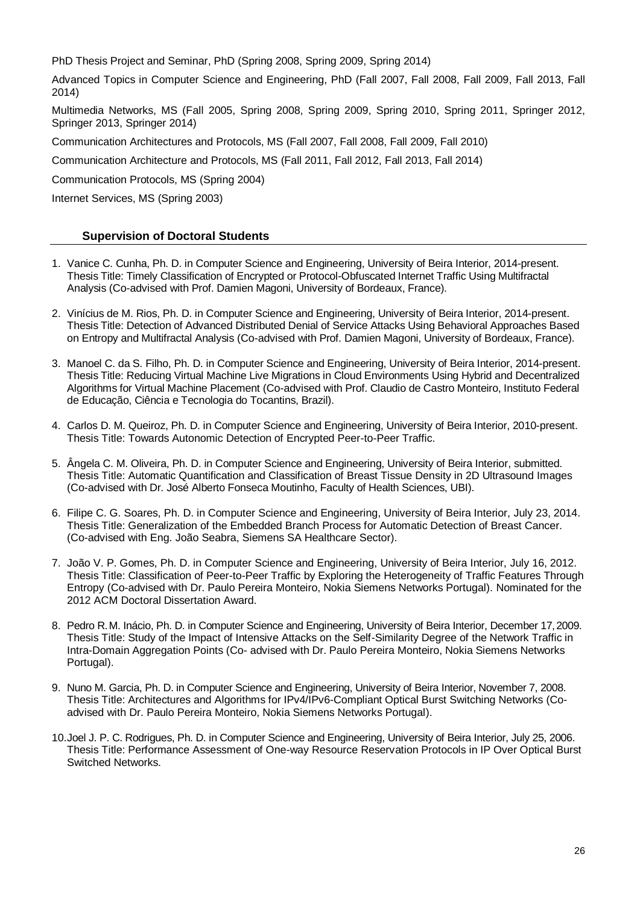PhD Thesis Project and Seminar, PhD (Spring 2008, Spring 2009, Spring 2014)

Advanced Topics in Computer Science and Engineering, PhD (Fall 2007, Fall 2008, Fall 2009, Fall 2013, Fall 2014)

Multimedia Networks, MS (Fall 2005, Spring 2008, Spring 2009, Spring 2010, Spring 2011, Springer 2012, Springer 2013, Springer 2014)

Communication Architectures and Protocols, MS (Fall 2007, Fall 2008, Fall 2009, Fall 2010)

Communication Architecture and Protocols, MS (Fall 2011, Fall 2012, Fall 2013, Fall 2014)

Communication Protocols, MS (Spring 2004)

Internet Services, MS (Spring 2003)

# **Supervision of Doctoral Students**

- 1. Vanice C. Cunha, Ph. D. in Computer Science and Engineering, University of Beira Interior, 2014-present. Thesis Title: Timely Classification of Encrypted or Protocol-Obfuscated Internet Traffic Using Multifractal Analysis (Co-advised with Prof. Damien Magoni, University of Bordeaux, France).
- 2. Vinícius de M. Rios, Ph. D. in Computer Science and Engineering, University of Beira Interior, 2014-present. Thesis Title: Detection of Advanced Distributed Denial of Service Attacks Using Behavioral Approaches Based on Entropy and Multifractal Analysis (Co-advised with Prof. Damien Magoni, University of Bordeaux, France).
- 3. Manoel C. da S. Filho, Ph. D. in Computer Science and Engineering, University of Beira Interior, 2014-present. Thesis Title: Reducing Virtual Machine Live Migrations in Cloud Environments Using Hybrid and Decentralized Algorithms for Virtual Machine Placement (Co-advised with Prof. Claudio de Castro Monteiro, Instituto Federal de Educação, Ciência e Tecnologia do Tocantins, Brazil).
- 4. Carlos D. M. Queiroz, Ph. D. in Computer Science and Engineering, University of Beira Interior, 2010-present. Thesis Title: Towards Autonomic Detection of Encrypted Peer-to-Peer Traffic.
- 5. Ângela C. M. Oliveira, Ph. D. in Computer Science and Engineering, University of Beira Interior, submitted. Thesis Title: Automatic Quantification and Classification of Breast Tissue Density in 2D Ultrasound Images (Co-advised with Dr. José Alberto Fonseca Moutinho, Faculty of Health Sciences, UBI).
- 6. Filipe C. G. Soares, Ph. D. in Computer Science and Engineering, University of Beira Interior, July 23, 2014. Thesis Title: Generalization of the Embedded Branch Process for Automatic Detection of Breast Cancer. (Co-advised with Eng. João Seabra, Siemens SA Healthcare Sector).
- 7. João V. P. Gomes, Ph. D. in Computer Science and Engineering, University of Beira Interior, July 16, 2012. Thesis Title: Classification of Peer-to-Peer Traffic by Exploring the Heterogeneity of Traffic Features Through Entropy (Co-advised with Dr. Paulo Pereira Monteiro, Nokia Siemens Networks Portugal). Nominated for the 2012 ACM Doctoral Dissertation Award.
- 8. Pedro R.M. Inácio, Ph. D. in Computer Science and Engineering, University of Beira Interior, December 17,2009. Thesis Title: Study of the Impact of Intensive Attacks on the Self-Similarity Degree of the Network Traffic in Intra-Domain Aggregation Points (Co- advised with Dr. Paulo Pereira Monteiro, Nokia Siemens Networks Portugal).
- 9. Nuno M. Garcia, Ph. D. in Computer Science and Engineering, University of Beira Interior, November 7, 2008. Thesis Title: Architectures and Algorithms for IPv4/IPv6-Compliant Optical Burst Switching Networks (Coadvised with Dr. Paulo Pereira Monteiro, Nokia Siemens Networks Portugal).
- 10.Joel J. P. C. Rodrigues, Ph. D. in Computer Science and Engineering, University of Beira Interior, July 25, 2006. Thesis Title: Performance Assessment of One-way Resource Reservation Protocols in IP Over Optical Burst Switched Networks.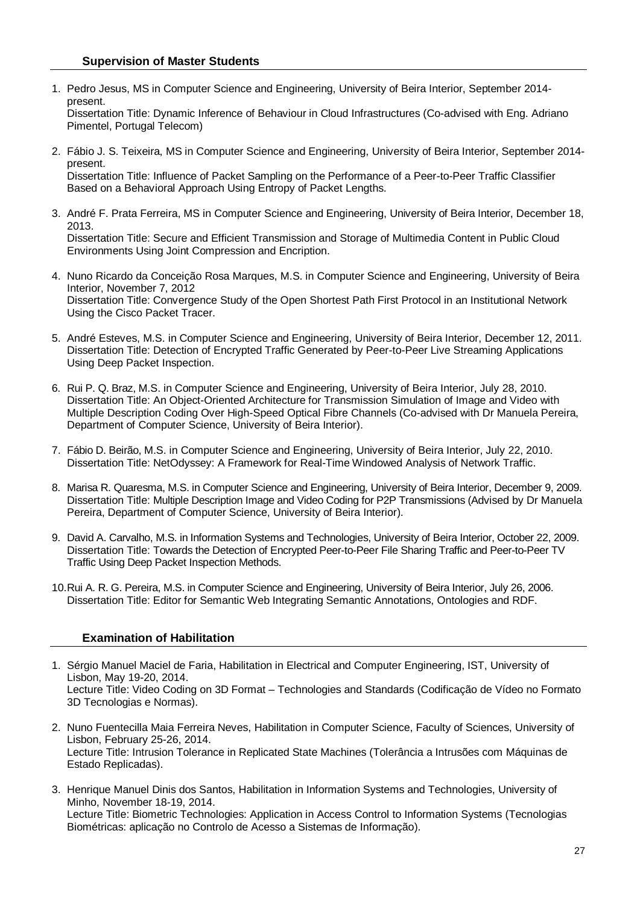1. Pedro Jesus, MS in Computer Science and Engineering, University of Beira Interior, September 2014 present.

Dissertation Title: Dynamic Inference of Behaviour in Cloud Infrastructures (Co-advised with Eng. Adriano Pimentel, Portugal Telecom)

- 2. Fábio J. S. Teixeira, MS in Computer Science and Engineering, University of Beira Interior, September 2014 present. Dissertation Title: Influence of Packet Sampling on the Performance of a Peer-to-Peer Traffic Classifier Based on a Behavioral Approach Using Entropy of Packet Lengths.
- 3. André F. Prata Ferreira, MS in Computer Science and Engineering, University of Beira Interior, December 18, 2013.

Dissertation Title: Secure and Efficient Transmission and Storage of Multimedia Content in Public Cloud Environments Using Joint Compression and Encription.

- 4. Nuno Ricardo da Conceição Rosa Marques, M.S. in Computer Science and Engineering, University of Beira Interior, November 7, 2012 Dissertation Title: Convergence Study of the Open Shortest Path First Protocol in an Institutional Network Using the Cisco Packet Tracer.
- 5. André Esteves, M.S. in Computer Science and Engineering, University of Beira Interior, December 12, 2011. Dissertation Title: Detection of Encrypted Traffic Generated by Peer-to-Peer Live Streaming Applications Using Deep Packet Inspection.
- 6. Rui P. Q. Braz, M.S. in Computer Science and Engineering, University of Beira Interior, July 28, 2010. Dissertation Title: [An Object-Oriented Architecture for Transmission Simulation of Image and Video with](http://floyd.di.ubi.pt/nmcg/pdf/MScDissertation-RuiBraz.pdf?sessionid=4d5c994165e28fd4cd4a11bcb0c148aa)  [Multiple Description Coding Over High-Speed Optical Fibre Channels](http://floyd.di.ubi.pt/nmcg/pdf/MScDissertation-RuiBraz.pdf?sessionid=4d5c994165e28fd4cd4a11bcb0c148aa) (Co-advised with Dr Manuela Pereira, Department of Computer Science, University of Beira Interior).
- 7. Fábio D. Beirão, M.S. in Computer Science and Engineering, University of Beira Interior, July 22, 2010. Dissertation Title: [NetOdyssey: A Framework for Real-Time Windowed Analysis of Network Traffic.](http://floyd.di.ubi.pt/nmcg/pdf/MScDissertation-FabioBeirao.pdf?sessionid=4d5c994165e28fd4cd4a11bcb0c148aa)
- 8. Marisa R. Quaresma, M.S. in Computer Science and Engineering, University of Beira Interior, December 9, 2009. Dissertation Title: Multiple Description Image and Video Coding for P2P Transmissions (Advised by Dr Manuela Pereira, Department of Computer Science, University of Beira Interior).
- 9. David A. Carvalho, M.S. in Information Systems and Technologies, University of Beira Interior, October 22, 2009. Dissertation Title: [Towards the Detection of Encrypted Peer-to-Peer File Sharing Traffic and Peer-to-Peer TV](http://floyd.di.ubi.pt/nmcg/pdf/MScDissertation-DavidCarvalho.pdf?sessionid=424543677d84655ef2e8be63fc42d350)  [Traffic Using Deep Packet](http://floyd.di.ubi.pt/nmcg/pdf/MScDissertation-DavidCarvalho.pdf?sessionid=424543677d84655ef2e8be63fc42d350) Inspection Methods.
- 10.Rui A. R. G. Pereira, M.S. in Computer Science and Engineering, University of Beira Interior, July 26, 2006. Dissertation Title: Editor for Semantic Web Integrating Semantic Annotations, Ontologies and RDF.

#### **Examination of Habilitation**

- 1. Sérgio Manuel Maciel de Faria, Habilitation in Electrical and Computer Engineering, IST, University of Lisbon, May 19-20, 2014. Lecture Title: Video Coding on 3D Format – Technologies and Standards (Codificação de Vídeo no Formato 3D Tecnologias e Normas).
- 2. Nuno Fuentecilla Maia Ferreira Neves, Habilitation in Computer Science, Faculty of Sciences, University of Lisbon, February 25-26, 2014. Lecture Title: Intrusion Tolerance in Replicated State Machines (Tolerância a Intrusões com Máquinas de Estado Replicadas).
- 3. Henrique Manuel Dinis dos Santos, Habilitation in Information Systems and Technologies, University of Minho, November 18-19, 2014. Lecture Title: Biometric Technologies: Application in Access Control to Information Systems (Tecnologias Biométricas: aplicação no Controlo de Acesso a Sistemas de Informação).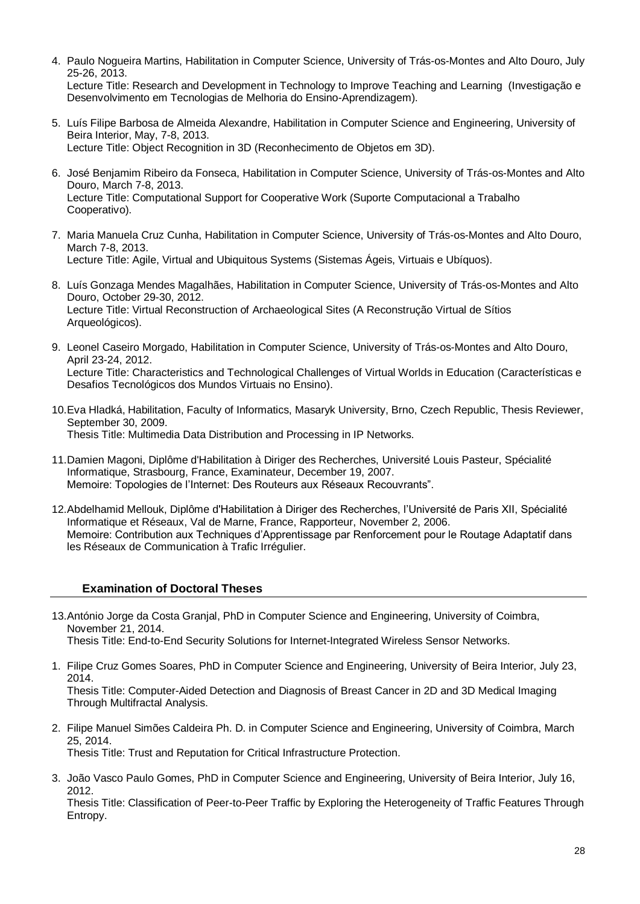- 4. Paulo Nogueira Martins, Habilitation in Computer Science, University of Trás-os-Montes and Alto Douro, July 25-26, 2013. Lecture Title: Research and Development in Technology to Improve Teaching and Learning (Investigação e Desenvolvimento em Tecnologias de Melhoria do Ensino-Aprendizagem).
- 5. Luís Filipe Barbosa de Almeida Alexandre, Habilitation in Computer Science and Engineering, University of Beira Interior, May, 7-8, 2013. Lecture Title: Object Recognition in 3D (Reconhecimento de Objetos em 3D).
- 6. José Benjamim Ribeiro da Fonseca, Habilitation in Computer Science, University of Trás-os-Montes and Alto Douro, March 7-8, 2013. Lecture Title: Computational Support for Cooperative Work (Suporte Computacional a Trabalho Cooperativo).
- 7. Maria Manuela Cruz Cunha, Habilitation in Computer Science, University of Trás-os-Montes and Alto Douro, March 7-8, 2013. Lecture Title: Agile, Virtual and Ubiquitous Systems (Sistemas Ágeis, Virtuais e Ubíquos).
- 8. Luís Gonzaga Mendes Magalhães, Habilitation in Computer Science, University of Trás-os-Montes and Alto Douro, October 29-30, 2012. Lecture Title: Virtual Reconstruction of Archaeological Sites (A Reconstrução Virtual de Sítios Arqueológicos).
- 9. Leonel Caseiro Morgado, Habilitation in Computer Science, University of Trás-os-Montes and Alto Douro, April 23-24, 2012. Lecture Title: Characteristics and Technological Challenges of Virtual Worlds in Education (Características e Desafios Tecnológicos dos Mundos Virtuais no Ensino).
- 10.Eva Hladká, Habilitation, Faculty of Informatics, Masaryk University, Brno, Czech Republic, Thesis Reviewer, September 30, 2009. Thesis Title: Multimedia Data Distribution and Processing in IP Networks.
- 11.Damien Magoni, Diplôme d'Habilitation à Diriger des Recherches, Université Louis Pasteur, Spécialité Informatique, Strasbourg, France, Examinateur, December 19, 2007. Memoire: Topologies de l'Internet: Des Routeurs aux Réseaux Recouvrants".
- 12.Abdelhamid Mellouk, Diplôme d'Habilitation à Diriger des Recherches, l'Université de Paris XII, Spécialité Informatique et Réseaux, Val de Marne, France, Rapporteur, November 2, 2006. Memoire: Contribution aux Techniques d'Apprentissage par Renforcement pour le Routage Adaptatif dans les Réseaux de Communication à Trafic Irrégulier.

# **Examination of Doctoral Theses**

- 13.António Jorge da Costa Granjal, PhD in Computer Science and Engineering, University of Coimbra, November 21, 2014. Thesis Title: End-to-End Security Solutions for Internet-Integrated Wireless Sensor Networks.
- 1. Filipe Cruz Gomes Soares, PhD in Computer Science and Engineering, University of Beira Interior, July 23, 2014.

Thesis Title: Computer-Aided Detection and Diagnosis of Breast Cancer in 2D and 3D Medical Imaging Through Multifractal Analysis.

2. Filipe Manuel Simões Caldeira Ph. D. in Computer Science and Engineering, University of Coimbra, March 25, 2014.

Thesis Title: Trust and Reputation for Critical Infrastructure Protection.

3. João Vasco Paulo Gomes, PhD in Computer Science and Engineering, University of Beira Interior, July 16, 2012.

Thesis Title: Classification of Peer-to-Peer Traffic by Exploring the Heterogeneity of Traffic Features Through Entropy.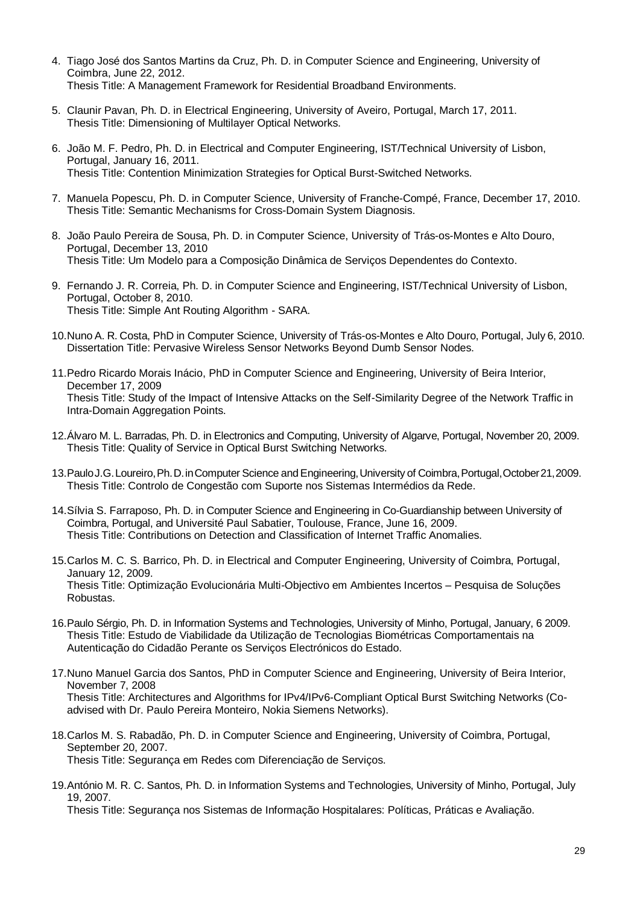- 4. Tiago José dos Santos Martins da Cruz, Ph. D. in Computer Science and Engineering, University of Coimbra, June 22, 2012. Thesis Title: A Management Framework for Residential Broadband Environments.
- 5. Claunir Pavan, Ph. D. in Electrical Engineering, University of Aveiro, Portugal, March 17, 2011. Thesis Title: Dimensioning of Multilayer Optical Networks.
- 6. João M. F. Pedro, Ph. D. in Electrical and Computer Engineering, IST/Technical University of Lisbon, Portugal, January 16, 2011. Thesis Title: Contention Minimization Strategies for Optical Burst-Switched Networks.
- 7. Manuela Popescu, Ph. D. in Computer Science, University of Franche-Compé, France, December 17, 2010. Thesis Title: Semantic Mechanisms for Cross-Domain System Diagnosis.
- 8. João Paulo Pereira de Sousa, Ph. D. in Computer Science, University of Trás-os-Montes e Alto Douro, Portugal, December 13, 2010 Thesis Title: Um Modelo para a Composição Dinâmica de Serviços Dependentes do Contexto.
- 9. Fernando J. R. Correia, Ph. D. in Computer Science and Engineering, IST/Technical University of Lisbon, Portugal, October 8, 2010. Thesis Title: Simple Ant Routing Algorithm - SARA.
- 10.Nuno A. R. Costa, PhD in Computer Science, University of Trás-os-Montes e Alto Douro, Portugal, July 6, 2010. Dissertation Title: Pervasive Wireless Sensor Networks Beyond Dumb Sensor Nodes.
- 11.Pedro Ricardo Morais Inácio, PhD in Computer Science and Engineering, University of Beira Interior, December 17, 2009 Thesis Title: Study of the Impact of Intensive Attacks on the Self-Similarity Degree of the Network Traffic in Intra-Domain Aggregation Points.
- 12.Álvaro M. L. Barradas, Ph. D. in Electronics and Computing, University of Algarve, Portugal, November 20, 2009. Thesis Title: Quality of Service in Optical Burst Switching Networks.
- 13.PauloJ.G.Loureiro,Ph.D.inComputer Science andEngineering,University of Coimbra,Portugal,October21,2009. Thesis Title: Controlo de Congestão com Suporte nos Sistemas Intermédios da Rede.
- 14.Sílvia S. Farraposo, Ph. D. in Computer Science and Engineering in Co-Guardianship between University of Coimbra, Portugal, and Université Paul Sabatier, Toulouse, France, June 16, 2009. Thesis Title: Contributions on Detection and Classification of Internet Traffic Anomalies.
- 15.Carlos M. C. S. Barrico, Ph. D. in Electrical and Computer Engineering, University of Coimbra, Portugal, January 12, 2009. Thesis Title: Optimização Evolucionária Multi-Objectivo em Ambientes Incertos – Pesquisa de Soluções Robustas.
- 16.Paulo Sérgio, Ph. D. in Information Systems and Technologies, University of Minho, Portugal, January, 6 2009. Thesis Title: Estudo de Viabilidade da Utilização de Tecnologias Biométricas Comportamentais na Autenticação do Cidadão Perante os Serviços Electrónicos do Estado.
- 17.Nuno Manuel Garcia dos Santos, PhD in Computer Science and Engineering, University of Beira Interior, November 7, 2008 Thesis Title: Architectures and Algorithms for IPv4/IPv6-Compliant Optical Burst Switching Networks (Coadvised with Dr. Paulo Pereira Monteiro, Nokia Siemens Networks).
- 18.Carlos M. S. Rabadão, Ph. D. in Computer Science and Engineering, University of Coimbra, Portugal, September 20, 2007. Thesis Title: Segurança em Redes com Diferenciação de Serviços.
- 19.António M. R. C. Santos, Ph. D. in Information Systems and Technologies, University of Minho, Portugal, July 19, 2007.

Thesis Title: Segurança nos Sistemas de Informação Hospitalares: Políticas, Práticas e Avaliação.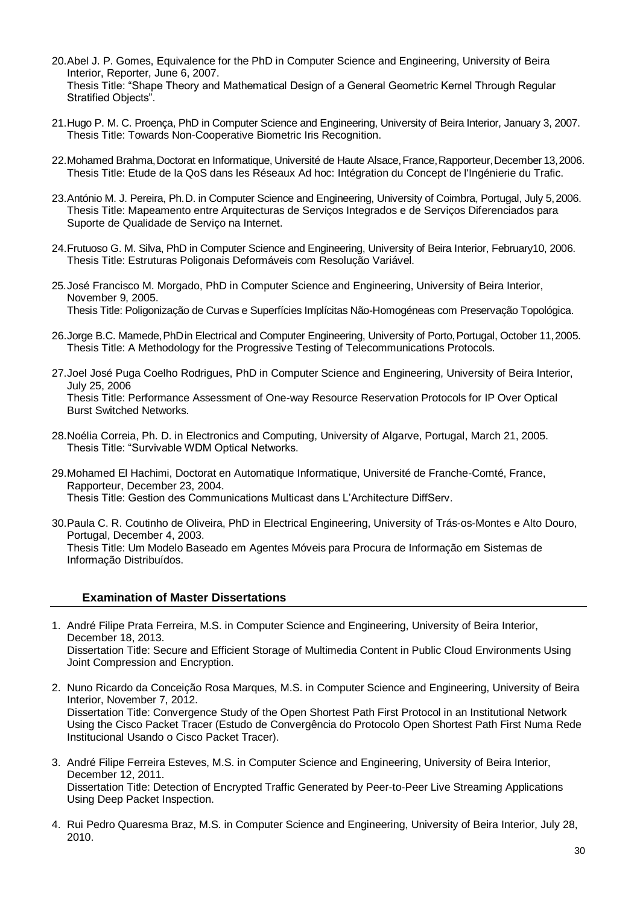- 20.Abel J. P. Gomes, Equivalence for the PhD in Computer Science and Engineering, University of Beira Interior, Reporter, June 6, 2007. Thesis Title: "Shape Theory and Mathematical Design of a General Geometric Kernel Through Regular Stratified Objects".
- 21.Hugo P. M. C. Proença, PhD in Computer Science and Engineering, University of Beira Interior, January 3, 2007. Thesis Title: Towards Non-Cooperative Biometric Iris Recognition.
- 22.Mohamed Brahma,Doctorat en Informatique, Université de Haute Alsace,France,Rapporteur,December 13,2006. Thesis Title: Etude de la QoS dans les Réseaux Ad hoc: Intégration du Concept de l'Ingénierie du Trafic.
- 23.António M. J. Pereira, Ph.D. in Computer Science and Engineering, University of Coimbra, Portugal, July 5,2006. Thesis Title: Mapeamento entre Arquitecturas de Serviços Integrados e de Serviços Diferenciados para Suporte de Qualidade de Serviço na Internet.
- 24.Frutuoso G. M. Silva, PhD in Computer Science and Engineering, University of Beira Interior, February10, 2006. Thesis Title: Estruturas Poligonais Deformáveis com Resolução Variável.
- 25.José Francisco M. Morgado, PhD in Computer Science and Engineering, University of Beira Interior, November 9, 2005. Thesis Title: Poligonização de Curvas e Superfícies Implícitas Não-Homogéneas com Preservação Topológica.
- 26.Jorge B.C. Mamede,PhDin Electrical and Computer Engineering, University of Porto,Portugal, October 11,2005. Thesis Title: A Methodology for the Progressive Testing of Telecommunications Protocols.
- 27.Joel José Puga Coelho Rodrigues, PhD in Computer Science and Engineering, University of Beira Interior, July 25, 2006 Thesis Title: Performance Assessment of One-way Resource Reservation Protocols for IP Over Optical Burst Switched Networks.
- 28.Noélia Correia, Ph. D. in Electronics and Computing, University of Algarve, Portugal, March 21, 2005. Thesis Title: "Survivable WDM Optical Networks.
- 29.Mohamed El Hachimi, Doctorat en Automatique Informatique, Université de Franche-Comté, France, Rapporteur, December 23, 2004. Thesis Title: Gestion des Communications Multicast dans L'Architecture DiffServ.
- 30.Paula C. R. Coutinho de Oliveira, PhD in Electrical Engineering, University of Trás-os-Montes e Alto Douro, Portugal, December 4, 2003. Thesis Title: Um Modelo Baseado em Agentes Móveis para Procura de Informação em Sistemas de Informação Distribuídos.

# **Examination of Master Dissertations**

- 1. André Filipe Prata Ferreira, M.S. in Computer Science and Engineering, University of Beira Interior, December 18, 2013. Dissertation Title: Secure and Efficient Storage of Multimedia Content in Public Cloud Environments Using Joint Compression and Encryption.
- 2. Nuno Ricardo da Conceição Rosa Marques, M.S. in Computer Science and Engineering, University of Beira Interior, November 7, 2012. Dissertation Title: Convergence Study of the Open Shortest Path First Protocol in an Institutional Network Using the Cisco Packet Tracer (Estudo de Convergência do Protocolo Open Shortest Path First Numa Rede Institucional Usando o Cisco Packet Tracer).
- 3. André Filipe Ferreira Esteves, M.S. in Computer Science and Engineering, University of Beira Interior, December 12, 2011. Dissertation Title: Detection of Encrypted Traffic Generated by Peer-to-Peer Live Streaming Applications Using Deep Packet Inspection.
- 4. Rui Pedro Quaresma Braz, M.S. in Computer Science and Engineering, University of Beira Interior, July 28, 2010.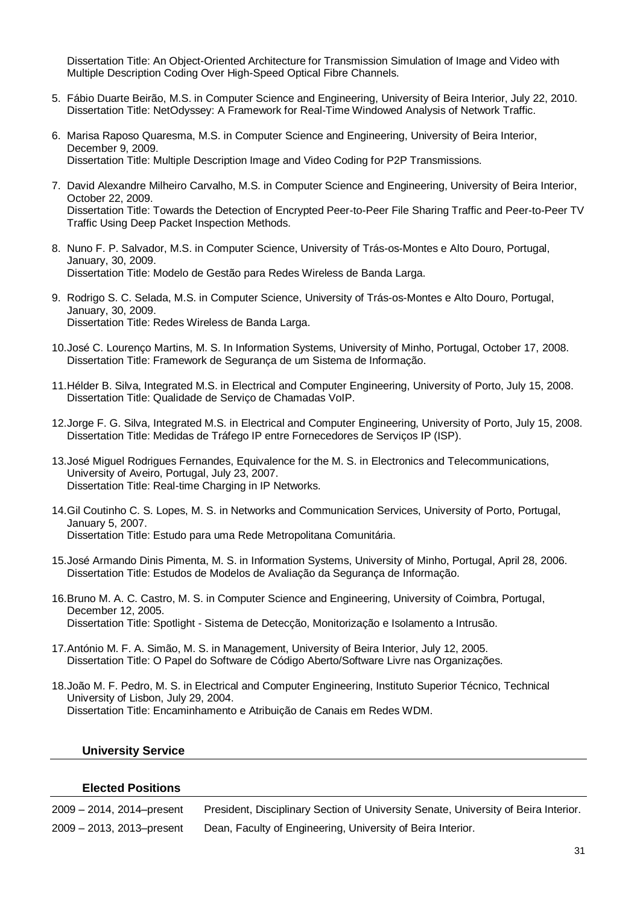Dissertation Title: An Object-Oriented Architecture for Transmission Simulation of Image and Video with Multiple Description Coding Over High-Speed Optical Fibre Channels.

- 5. Fábio Duarte Beirão, M.S. in Computer Science and Engineering, University of Beira Interior, July 22, 2010. Dissertation Title: NetOdyssey: A Framework for Real-Time Windowed Analysis of Network Traffic.
- 6. Marisa Raposo Quaresma, M.S. in Computer Science and Engineering, University of Beira Interior, December 9, 2009. Dissertation Title: Multiple Description Image and Video Coding for P2P Transmissions.
- 7. David Alexandre Milheiro Carvalho, M.S. in Computer Science and Engineering, University of Beira Interior, October 22, 2009. Dissertation Title: Towards the Detection of Encrypted Peer-to-Peer File Sharing Traffic and Peer-to-Peer TV Traffic Using Deep Packet Inspection Methods.
- 8. Nuno F. P. Salvador, M.S. in Computer Science, University of Trás-os-Montes e Alto Douro, Portugal, January, 30, 2009. Dissertation Title: Modelo de Gestão para Redes Wireless de Banda Larga.
- 9. Rodrigo S. C. Selada, M.S. in Computer Science, University of Trás-os-Montes e Alto Douro, Portugal, January, 30, 2009. Dissertation Title: Redes Wireless de Banda Larga.
- 10.José C. Lourenço Martins, M. S. In Information Systems, University of Minho, Portugal, October 17, 2008. Dissertation Title: Framework de Segurança de um Sistema de Informação.
- 11.Hélder B. Silva, Integrated M.S. in Electrical and Computer Engineering, University of Porto, July 15, 2008. Dissertation Title: Qualidade de Serviço de Chamadas VoIP.
- 12.Jorge F. G. Silva, Integrated M.S. in Electrical and Computer Engineering, University of Porto, July 15, 2008. Dissertation Title: Medidas de Tráfego IP entre Fornecedores de Serviços IP (ISP).
- 13.José Miguel Rodrigues Fernandes, Equivalence for the M. S. in Electronics and Telecommunications, University of Aveiro, Portugal, July 23, 2007. Dissertation Title: Real-time Charging in IP Networks.
- 14.Gil Coutinho C. S. Lopes, M. S. in Networks and Communication Services, University of Porto, Portugal, January 5, 2007. Dissertation Title: Estudo para uma Rede Metropolitana Comunitária.
- 15.José Armando Dinis Pimenta, M. S. in Information Systems, University of Minho, Portugal, April 28, 2006. Dissertation Title: Estudos de Modelos de Avaliação da Segurança de Informação.
- 16.Bruno M. A. C. Castro, M. S. in Computer Science and Engineering, University of Coimbra, Portugal, December 12, 2005. Dissertation Title: Spotlight - Sistema de Detecção, Monitorização e Isolamento a Intrusão.
- 17.António M. F. A. Simão, M. S. in Management, University of Beira Interior, July 12, 2005. Dissertation Title: O Papel do Software de Código Aberto/Software Livre nas Organizações.
- 18.João M. F. Pedro, M. S. in Electrical and Computer Engineering, Instituto Superior Técnico, Technical University of Lisbon, July 29, 2004. Dissertation Title: Encaminhamento e Atribuição de Canais em Redes WDM.

#### **University Service**

#### **Elected Positions**

| 2009 - 2014, 2014-present | President, Disciplinary Section of University Senate, University of Beira Interior. |
|---------------------------|-------------------------------------------------------------------------------------|
| 2009 - 2013, 2013-present | Dean, Faculty of Engineering, University of Beira Interior.                         |